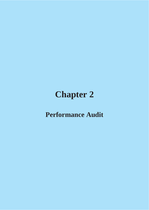# **Chapter 2**

## **Performance Audit**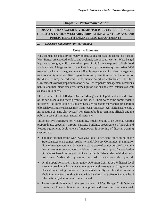## **Chapter 2: Performance Audit**

## **DISASTER MANAGEMENT, HOME (POLICE), CIVIL DEFENCE, HEALTH & FAMILY WELFARE, IRRIGATION & WATERWAYS AND PUBLIC HEALTH ENGINEERING DEPARTMENTS**

## **2.1 Disaster Management in West Bengal**

## **Executive Summary**

West Bengal has a history of recurring natural disasters as the coastal districts of West Bengal are exposed to flood and cyclones, part of south-western West Bengal is prone to drought, while the northern part of this State is exposed to flash flood and landslide. A large section of the State is also prone to earthquakes. After 2004 *tsunami*, the focus of the government shifted from post-calamity crises management to pre-calamity measures like preparedness and prevention, so that the impact of the disasters may be reduced. Performance Audit on activities of the State Government towards preparedness for, as well as response/ management of various natural and man-made disasters, threw light on various positive instances as well as areas of concern.

The existence of a full-fledged Disaster Management Department was indicative of the seriousness and focus given to this issue. There were some commendable initiatives like compilation of updated Disaster Management Manual, preparation of block level Disaster Management Plans (even Panchayat level plans in Darjeeling), introduction of "sms-alert system" for alerting both government officials and the public in case of imminent natural disaster etc.

These positive initiatives notwithstanding, much remains to be done as regards preparedness, especially through capacity building, procurement of Search and Rescue equipment, deployment of manpower, functioning of disaster warning systems etc.

- ➤ The institutional frame work was weak due to deficient functioning of the State Disaster Management Authority and Advisory Committee. Planning for disaster management was deficient as plans were often not prepared by all the line departments compounded by delays in preparation of plan. Categorisation of disasters based on the ability of various authorities to deal with them was not done. Vulnerability assessment of blocks was also partial.
- ➤ On the operational front, Emergency Operation Centres at the district level were not provided with dedicated manpower and were not working round the clock except during monsoon. Cyclone Warning System installed in Purba Medinipur remained non-functional, while the desired objective of Geographical Information System remained unachieved.
- ➤ There were deficiencies in the preparedness of West Bengal Civil Defence Emergency Force both in terms of manpower and search and rescue material.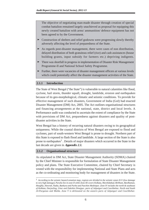The objective of negotiating man-made disaster through creation of special combat battalion remained largely unachieved as proposal for equipping this newly created battalion with arms/ ammunition/ defence equipment has not been agreed to by the Government.

- ➤ Construction of shelters and relief godowns were progressing slowly thereby adversely affecting the level of preparedness of the State.
- ➤ As regards post-disaster management, there were cases of non distribution, delayed distribution of both gratuitous relief (rice) and cash assistances (house building grants, input subsidy for farmers etc.) depriving indigents.
- ➤ There was shortfall in progress in implementation of Disaster Risk Management Programme-II and National School Safety Programme.
- ➤ Further, there were vacancies of disaster management officers at various levels which could potentially affect the disaster management activities of the State.

## **2.1.1 Introduction**

The State of West Bengal ("the State") is vulnerable to natural calamities like flood, cyclone, hail storm, thunder squall, drought, landslide, erosion and earthquakes because of its geo-morphological, climatic and seismic conditions. To provide for effective management of such disasters, Government of India (GoI) had enacted Disaster Management (DM) Act, 2005. The Act outlines organisational structures and financing arrangements at the national, state, district and local levels. A Performance audit was conducted to ascertain the extent of compliance by the State with provisions of DM Act, preparedness against disasters and quality of postdisaster activities in the State.

West Bengal has a history of recurring natural disasters owing to its geographical uniqueness. While the coastal districts of West Bengal are exposed to flood and cyclones, part of south-western West Bengal is prone to drought. Northern part of this State is exposed to flash flood and landslide. A large section of the State is also prone to earthquakes<sup>1</sup>. Details of major disasters which occurred in the State in the last decade are given in **Appendix 2.1.**

## **2.1.2 Organisational structure**

As stipulated in DM Act, State Disaster Management Authority (SDMA) chaired by the Chief Minister is responsible for formulation of State Disaster Management policy and plans. The State Executive Committee, chaired by Chief Secretary is vested with the responsibility for implementing National and State Plans and acts as the co-ordinating and monitoring body for management of disasters in the State.

*<sup>1</sup> According to the seismic hazard zonation map, regions are divided in the seismic zones II-V (low damage to very high damage), Purulia lies in zone II while Zone III covers Kolkata, Murshidabad, Birbhum, Bardhaman, Hooghly, Howrah, Nadia, Bankura and Purba and Paschim Medinipur. Zone IV includes the north & southeast of Kolkata, Darjeeling, Uttar and Dakshin Dinajpur, parts of Jalpaiguri and Coochbehar, North and South 24-Parganas and Malda. Zone V is delineated on the eastern parts of Jalpaiguri and Coochbehar.*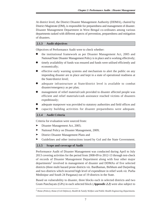At district level, the District Disaster Management Authority (DDMA), chaired by District Magistrate (DM), is responsible for preparedness and management of disaster. Disaster Management Department in West Bengal co-ordinates among various departments tasked with different aspects of prevention, preparedness and mitigation of disasters.

## **2.1.3 Audit objectives**

Objectives of Performance Audit were to check whether:

- the institutional framework as per Disaster Management Act, 2005 and National/State Disaster Management Policy is in place and is working effectively;
- timely availability of funds was ensured and funds were utilised efficiently and economically;
- effective early warning systems and mechanism to alert the public on any impending disaster are in place and kept in a state of operational readiness at the State/district level;
- adequate infrastructure at State/district level is available to combat disaster/emergency as per plan;
- management of relief material/cash provided to disaster affected people was efficient and relief materials/cash assistance reached victims of disasters expeditiously;
- adequate manpower was provided to statutory authorities and field offices and
- capacity building activities for disaster preparedness were adequate.

## **2.1.4 Audit Criteria**

Criteria for evaluation were sourced from:

- ➤ Disaster Management Act, 2005;
- ➤ National Policy on Disaster Management, 2009;
- ➤ District Disaster Management Plans and
- ➤ Guidelines and other instructions issued by GoI and the State Government.

## **2.1.5 Scope and coverage of Audit**

Performance Audit of Disaster Management was conducted during April to July 2013 covering activities for the period from 2008-09 to 2012-13 through test-check of records of Disaster Management Department along with four other major departments<sup>2</sup> involved in management of disaster and DDMAs of five selected districts (three multi hazard prone districts viz. Bardhaman, Birbhum and Darjeeling and two districts which incurred high level of expenditure in relief work *viz.* Purba Medinipur and South 24 Parganas) out of 19 districts in the State.

Based on vulnerability to disaster, three blocks each in selected districts and two Gram Panchayats (GPs) in each selected block (**Appendix 2.2**) were also subject to

*<sup>2</sup> Home (Police), Home (Civil Defence), Health & Family Welfare and Public Health Engineering Departments.*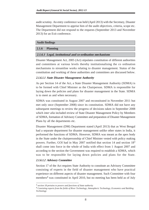audit scrutiny. An entry conference was held (April 2013) with the Secretary, Disaster Management Department to apprise him of the audit objectives, criteria, scope etc. The Department did not respond to the requests (September 2013 and November 2013) for an Exit conference.

#### **Audit findings**

#### **2.1.6 Planning**

#### **2.1.6.1 Legal, institutional and co-ordination mechanisms**

Disaster Management Act, 2005 (Act) stipulates constitution of different authorities and committees at various levels thereby institutionalising the co ordination mechanisms to streamline works relating to disaster management. Status of the constitution and working of these authorities and committees are discussed below.

#### **2.1.6.1.1 State Disaster Management Authority**

As per Section 14 of the Act, a State Disaster Management Authority (SDMA) is to be formed with Chief Minister as the Chairperson. SDMA is responsible for laying down the policies and plans for disaster management in the State. SDMA is to meet as and when necessary.

SDMA was constituted in August 2007 and reconstituted in November 2011 but met only once (September 2008) since its constitution. SDMA did not have any subsequent meetings to review the progress of decisions taken in September 2008 which *inter alia* included review of State Disaster Management Policy by Members of SDMA, formation of Advisory Committee and preparation of Disaster Management Plans by all the departments etc.

Disaster Management (DM) Department stated (April 2013) that as West Bengal had a separate department for disaster management unlike other states in India, it performed the functions of SDMA. However, SDMA was meant as the apex body in the State under the chairpersonship of Chief Minister vested with policy making powers. Further, GOI had in May 2007 notified that section 14 and section 18<sup>3</sup> shall come into force in the whole of India with effect from 1 August 2007 and according to the section the Government was required to establish a SDMA, which was to be responsible for laying down policies and plans for the State.

#### **2.1.6.1.2 Advisory Committee**

Section 17 of the Act requires State Authority to constitute an Advisory Committee consisting of experts in the field of disaster management who have practical experience on different aspects of disaster management. Such Committee with four members<sup>4</sup> was constituted in April 2010, but no meeting has been held as of July

<sup>3</sup> *section 18 pertains to powers and functions of State authority*

<sup>4</sup> *Consisting experts from the fields of River Technology, Atmospheric Technology, Economics and Building Technology*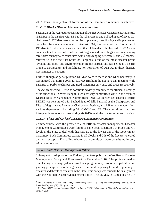2013. Thus, the objective of formation of the Committee remained unachieved.

## **2.1.6.1.3 District Disaster Management Authorities**

Section 25 of the Act requires constitution of District Disaster Management Authorities (DDMA) in the districts with DM as the Chairperson and Sabhadhipati of ZP as Cochairperson<sup>5</sup>. DDMAs were to act as district planning, co-ordinating and implementing body for disaster management. In August 2007, the State notified formation of DDMAs in 18 districts. It was noticed that of five districts checked, DDMAs was not constituted in two districts (South 24 Parganas and Darjeeling) while in remaining three districts they were constituted with delays ranging between 12 and 296 months. Viewed with the fact that South 24 Parganas is one of the most disaster prone (cyclone and flood) and environmentally fragile districts and Darjeeling is a district prone to earthquakes and landslides, non-formation of DDMAs in these districts was a matter of concern.

Further, though as per stipulation DDMAs were to meet as and when necessary, it was noticed that during 2008-13, DDMA Birbhum did not have any meeting while DDMAs of Purba Medinipur and Bardhaman met only once and twice respectively.

The Act empowered DDMA to constitute advisory committees for efficient discharge of its functions. In West Bengal, such advisory committees were in the form of District Disaster Management Committees (DDMC). In each test checked district DDMC was constituted with Sabhadhipati of Zilla Parishad as the Chairperson and District Magistrate as Executive Chairperson. Besides, it had 18 more members from various departments including SP, CMOH and EE. The committees had met infrequently (one to six times during 2008-13) in all the five test-checked districts.

## **2.1.6.1.4 Block and GP level Disaster Management Committees**

Commensurate with the greater role of PRIs in disaster management, Disaster Management Committees were found to have been constituted at block and GP levels in the State to deal with disasters up to the lowest tier of the Government machinery. Such Committees existed in all blocks and GPs of the five test-checked districts, except in Darjeeling where such committees were constituted in only 40 *per cent* of GPs.

## **2.1.6.2 State Disaster Management Policy**

Subsequent to adoption of the DM Act, the State published West Bengal Disaster Management Policy and Framework in December 2007. The policy aimed at establishing necessary systems, structures, programmes, resources, capabilities and guiding principles for reducing disaster risks and preparing for and responding to disasters and threats of disasters in the State. This policy was found to be in alignment with the National Disaster Management Policy. The SDMA, in its meeting held in

*<sup>5</sup> Other members of DDMA included Superintendent of Police (SP), Chief Medical Officer of Health (CMoH), Executive Engineer (EE) of Irrigation etc.*

*<sup>6</sup> Birbhum DDMA created in August 2008, Bardhaman DDMA in September 2008 and Purba Medinipur in January 2010*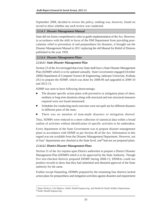September 2008, decided to review the policy; nothing was, however, found on record to show whether any such review was conducted.

## **2.1.6.3 Disaster Management Manual**

State did not frame comprehensive rules to guide implementation of the Act. However, in accordance with the shift in focus of the DM Department from providing postcalamity relief to prevention of and preparedness for disasters, it brought out the Disaster Management Manual in 2011 replacing the old Manual for Relief of Distress published in the year 1959.

## **2.1.6.4 Disaster Management Plans**

## **2.1.6.4.1 State Disaster Management Plan**

Section 23 of the Act envisaged that every State shall have a State Disaster Management Plan (SDMP) which is to be updated annually. State Government engaged (October 2008) Department of Computer Science & Engineering, Jadavpur University, Kolkata (JU) to prepare the SDMP, which was done for 2008-09 and upgraded in 2009-10 and 2012-13.

SDMP was seen to have following shortcomings:

- The disaster specific action plans with preventive or mitigation plans of short, medium or long term durations along with structural and non structural measures required were not found mentioned;
- Schedules for conducting mock exercises were not spelt out for different disasters in different parts of the state;
- There was no mention of man-made disasters or mitigation thereof.

Thus, SDMPs were reduced to a mere collection of statistical data within a broad outline of activities without identification of specific activities to be undertaken.

Every department of the State Government was to prepare disaster management plans in accordance with SDMP as per Section 40 of the Act. Information in this regard was not available from the Disaster Management Department. However, out of four<sup>7</sup> departments test checked at the State level, one<sup>8</sup> had not yet prepared plans.

## **2.1.6.4.2 District Disaster Management Plans**

Section 31 of the Act enjoins upon District authorities to prepare a District Disaster Management Plan (DDMP) which is to be approved by the State Authority. Though five test-checked districts prepared DDMP during 2008-13, DDMAs could not produce records to show that they had submitted and obtained approval of the State authority for the same.

Further except Darjeeling, DDMPs prepared by the remaining four districts lacked action plans for preparedness and mitigation activities against disasters and requirement

<sup>7</sup> *Home (Police), Civil Defence, Public Health Engineering and Health & Family Welfare Departments* 8 *Public Health Engineering*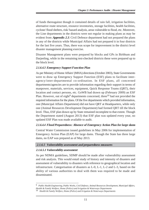of funds thereagainst though it contained details of rain fall, irrigation facilities, alternative route structure, resource inventories, storage facilities, health facilities, cyclone/ flood shelters, risk/ hazard analysis, areas vulnerable to flood, etc. Moreover, the Line departments in the districts were not regular in making plans as may be evident from **Appendix 2.3**. Civil Defence department had not prepared the plans in any of the districts while Municipal Affairs had not prepared it in four districts for the last five years. Thus, there was scope for improvement in the district level disaster management planning exercise.

Disaster Management plans were prepared by blocks and GPs in Birbhum and Darjeeling, while in the remaining test-checked districts these were prepared up to the block level.

## **2.1.6.4.3 Emergency Support Function Plan**

As per Ministry of Home Affairs' (MHA) directions (October 2003), State Governments were to draw up Emergency Support Function (ESF) plans to facilitate interagency/inter-departmental co-ordination. In ESF plans, all concerned departments/agencies are to provide information regarding their support in terms of manpower, materials, services, equipment, Quick Response Teams (QRT), their location and contact persons, etc. GoWB had drawn up (February 2009) an ESF Plan. However, out of eight<sup>9</sup> departments concerned, three<sup>10</sup> had not provided the required information for the plans. Of the five departments which provided information, one (Municipal Affairs Department) did not have QRT at Headquarters, while only one (Animal Resources Development Department) had formed QRT till the block level. Thus, ESF plan drawn up by State remained incomplete to that extent. Though the Department stated (August 2013) that ESF plan was updated every year, no updated ESF Plan was made available to audit.

## **2.1.6.4.4 Flood Preparedness: Absence of Emergency Action Plan for large dams**

Central Water Commission issued guidelines in May 2006 for implementation of Emergency Action Plan (EAP) for large dams. Though the State has three large dams, no EAP was prepared as of May 2013.

## **2.1.6.5 Vulnerability assessment and preparedness measures**

## **2.1.6.5.1 Vulnerability assessment**

As per NDMA guidelines, SDMP should be made after vulnerability assessment and risk analysis. This would entail study of history and intensity of disasters and assessment of vulnerability to disasters with reference to geographical location and infrastructure. Categorisation of disasters as L-0, L-1, L-2 and L-3, based on the ability of various authorities to deal with them was required to be made and disseminated.

<sup>9</sup> *Public Health Engineering, Public Works, Civil Defence, Animal Resources Development, Municipal Affairs, Health & Family Welfare, Home (Police) and Irrigation & Waterways Departments*

<sup>10</sup> *Health & Family Welfare, Home (Police) and Irrigation & Waterways Departments*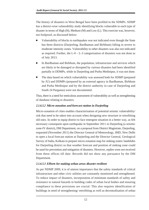The history of disasters in West Bengal have been profiled in the SDMPs. SDMP has a district-wise vulnerability study identifying blocks vulnerable to each type of disaster in terms of High (H), Medium (M) and Low (L). This exercise was, however, not foolproof, as discussed below:

- Vulnerability of blocks to earthquakes was not indicated even though the State has three districts (Darjeeling, Bardhaman and Birbhum) falling in severe to moderate intensity zones. Vulnerability to other disasters was also not indicated as required. Further, the  $L$ -0 –  $L$ -3 categorisation of disasters was not done as of July 2013.
- In Bardhaman and Birbhum, the population, infrastructure and services which are likely to be damaged or disrupted by various disasters had been identified partially in DDMPs, while in Darjeeling and Purba Medinipur, it was not done.
- The data based on which vulnerability was assessed both for SDMP (prepared by JU) and DDMPs (prepared by an external agency in Bardhaman, Birbhum and Purba Medinipur and by the district authority in case of Darjeeling and South 24 Parganas) were not documented.

Thus, there is a need for meticulous assessment of vulnerability as well as strengthening of database relating to disasters.

## **2.1.6.5.2 Micro-zonation and forecast station in Darjeeling**

Micro-zonation of cities enables characterisation of potential seismic vulnerability/ risk that need to be taken into account when designing new structure or retrofitting old ones. In order to equip district to face emergent situation in a better way, as felt necessary consequent upon earthquake in September 2011 in Darjeeling (a seismic zone-IV district), DM Department, on a proposal from District Magistrate, Darjeeling, requested (November 2011) the Director General of Meteorology, IMD, New Delhi to open a local forecast station at Darjeeling and the Director General, Geological Survey of India, Kolkata to prepare micro-zonation map for sinking zones/ landslides for Darjeeling district so that weather forecast and position of sinking zone could be used for prevention and mitigation of disasters. However, replies were not received from these offices till date. Records did not show any pursuance by the DM Department.

## **2.1.6.5.3 Efforts for making urban areas disaster resilient**

As per NDMP 2009, it is of utmost importance that the safety standards of critical infrastructure and other civic utilities are constantly monitored and strengthened. To reduce impact of disasters, incorporation of minimum standards of safety and resistance to natural hazards in building codes of urban local bodies and ensuring compliance to these provisions are crucial. This also requires identification of buildings in need of strengthening/ retrofitting as well as decentralisation of urban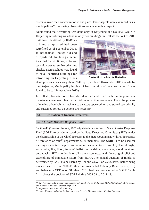assets to avoid their concentration in one place. These aspects were examined in six municipalities<sup>11</sup>. Following observations are made in this respect:

Audit found that retrofitting was done only in Darjeeling and Kolkata. While in Darjeeling retrofitting was done in only two buildings, in Kolkata 150 out of 2400

buildings identified by KMC as old and dilapidated had been retrofitted as of September 2013. In Bardhaman, though old and dilapidated buildings were identified for retrofitting, no follow up action was taken. No other test checked Municipalities were found to have identified buildings for retrofitting. In Darjeeling, a bus



A retrofitted building in Darjeeling

stand premises measuring about 2040 sq. ft, declared (November 2011) unsafe by the Darjeeling Municipality in view of bad condition of the construction $12$ , was found to be still in use (June 2013).

In Kolkata, Kolkata Police had also identified and listed such buildings in their disaster management plan, but no follow up action was taken. Thus, the process of making urban habitats resilient to disasters appeared to have started sporadically and sustained follow up actions are necessary.

## **2.1.7 Utilisation of financial resources**

## **2.1.7.1 State Disaster Response Fund**

Section 48 (1) (a) of the Act, 2005 stipulated constitution of State Disaster Response Fund (SDRF) to be administered by the State Executive Committee (SEC), under the chairmanship of the Chief Secretary to the State Government with Pr. Secretaries / Secretaries of four<sup>13</sup> departments as its members. The SDRF is to be used for meeting expenditure on provision of immediate relief to victims of cyclone, drought, earthquake, fire, flood, *tsunami*, hailstorm, landslide, avalanche, cloud burst and pest attacks. SEC is to decide on all matters connected with financing of relief and expenditure of immediate nature from SDRF. The annual quantum of funds, as determined by GoI, is to be shared by GoI and GoWB on 75:25 basis. Before being renamed as SDRF in 2010-11, this fund was called Calamity Relief Fund (CRF) and balance in CRF as on 31 March 2010 had been transferred to SDRF. Table 2.1.1 shows the position of SDRF during 2008-09 to 2012-13.

<sup>11</sup> *Suri (Birbhum), Bardhaman and Darjeeling, Tamluk (Purba Medinipur), Maheshtala (South 24 Parganas) and Kolkata Municipal Corporation (KMC)*

<sup>12</sup> *Singhamari Syndicate office building*

<sup>13</sup> *Home, Finance, Irrigation & Waterways and Disaster Management (as Member Convenor)*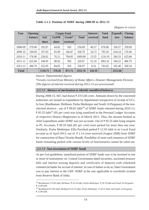| Table 2.1.1: Position of SDRF during 2008-09 to 2012-13 |  |
|---------------------------------------------------------|--|
|---------------------------------------------------------|--|

*(Rupees in crore)*

| Year         | <b>Opening</b> |         |             | <b>Corpus Fund</b> |              | <b>Interest</b> | <b>Total</b> | Expendi- | <b>Closing</b> |
|--------------|----------------|---------|-------------|--------------------|--------------|-----------------|--------------|----------|----------------|
|              | balance        | GoI     | <b>GoWB</b> | Grant*             | <b>Total</b> | received        | fund         | ture     | <b>balance</b> |
|              |                | share   | share       | received           |              |                 |              |          |                |
| 2008-09      | 379.40         | 192.07  | 64.02       | <b>Nil</b>         | 256.09       | 40.57           | 676.06       | 336.37   | 339.69         |
| 2009-10      | 339.69         | 197.93  | 65.99       | 166.87             | 430.79       | 24.72           | 795.20       | 618.24   | 176.96         |
| 2010-11      | 176.96         | 228.62  | 76.21       | 704.85             | 1009.68      | 23.55           | 1210.19      | 584.35   | 625.84         |
| 2011-12      | 625.84         | 240.05  | 80.02       | <b>Nil</b>         | 320.07       | 55.10           | 1001.01      | 594.22   | 406.79         |
| 2012-13      | 406.79         | 252.05  | 84.02       | <b>Nil</b>         | 336.07       | 0.16            | 743.02       | 182.48   | 560.54         |
| <b>Total</b> |                | 1110.72 | 370.26      | 871.72             | 2352.70      | 144.10          |              | 2315.66  |                |

*Source: Departmental figures*

*\*Grants received from Ministry of Home Affairs, Disaster Management Division (The figures of interest received during 2012-13 are provisional)*

## **2.1.7.2 Absence of mechanism to identify unutilised balances**

During 2008-13, SEC had drawn  $\overline{\tau}$  2315.66 crore. Amounts drawn by the concerned authorities are treated as expenditure by departments irrespective of receipt of UCs. In four (Bardhaman, Birbhum, Purba Medinipur and South 24 Parganas) of the testchecked districts, out of  $\overline{\tau}$  89.85 lakh<sup>14</sup> of SDRF funds released during 2010-13, 85.55 lakh<sup>15</sup> (95 *per cent*) was lying unutilised in the Personal Ledger Accounts of respective District Magistrates as of March 2013. Thus, the amount booked as relief expenditure under SDRF was not accurate. Out of  $\bar{\tau}$  85.55 lakh lying unspent in PL Accounts,  $\bar{\tau}$  69.59 lakh (81 *per cent*) were parked for more than one year. Similarly, Purba Medinipur Zilla Parishad parked  $\bar{\tau}$  12.93 lakh in its Local Fund account as of April 2013, out of  $\bar{\tau}$  1.14 crore received (August 2008) from SDRF for construction of Bara Chowka Bundh. Possibility of more such instances of SDRF funds remaining parked with various levels of functionaries cannot be ruled out.

## **2.1.7.3 Non-investment of SDRF funds**

As per GoI guidelines, unutilized portion of SDRF funds was to be invested in one or more of instruments *viz.* Central Government dated securities, auctioned treasury bills and interest earning deposits and certificates of deposits with scheduled commercial banks for accrual of interest. In case of failure to do so, State Government was to pay interest to the CRF/ SDRF at the rate applicable to overdrafts availed from Reserve Bank of India.

<sup>14</sup> *Bardhaman: 0.85 lakh, Birbhum: 45.50 lakh, Purba Medinipur: 30.70 lakh and South 24 Parganas: 12.80 lakh*

<sup>15</sup> *Bardhaman 0.85 lakh, Birbhum 43.75 lakh, Purba Medinipur 28.15 lakh, and South 24 Parganas 12.80 lakh*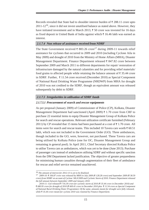Records revealed that State had to shoulder interest burden of  $\bar{\tau}$  288.11 crore upto  $2011-12^{16}$ , since it did not invest unutilised balance as stated above. However, they have initiated investment and in March 2013,  $\bar{\tau}$  50 crore was invested for 16 days as fixed deposit in United Bank of India against which  $\bar{\tau}$  16.46 lakh was earned as interest.

#### **2.1.7.4 Non release of assistance received from NDRF**

The State Government received  $\bar{\tau}$  883.26 crore<sup>17</sup> during 2009-11 towards relief assistance for cyclones that occurred in 2009 and 2010 (including Cyclone Aila in May 2009) and drought of 2010 from the Ministry of Home Affairs (MHA), Disaster Management Department. Finance Department released  $\bar{\tau}$  847.82 crore between September 2009 and March 2011 to different departments for repair/ restoration of infrastructure damaged by the natural calamities and for providing relief materials/ food grains to affected people while retaining the balance amount of  $\bar{\tau}$  35.44 crore in SDRF. Further,  $\bar{\tau}$  11.54 crore received (December 2010) as Special Component of National Rural Drinking Water Programme (NRDWP) from MHA for drought of 2010 was not credited to the SDRF, though an equivalent amount was released subsequently by debit to SDRF.

## **2.1.7.5 Irregularities in utilisation of SDRF funds**

## **2.1.7.5.1 Procurement of search and rescue equipments**

As per proposal (January 2009) of Commissioner of Police (CP), Kolkata, Disaster Management Department had sanctioned (April 2009)  $\bar{\tau}$  1.70 crore from CRF to purchase 22 essential items to equip Disaster Management Group of Kolkata Police for search and rescue operations. Relevant utilization certificate furnished (February 2011) by CP revealed that 15 items had been purchased at a cost of  $\bar{\tau}$  1.70 crore. All items were for search and rescue teams. This included 10 Tavera cars worth  $\bar{\tau}$  60.51 lakh, which was not included in the Government Order (GO). Three ambulances, though included in the GO, were, however, not purchased. These Tavera cars are being utilised by Kolkata Police (one for OC, Disaster Management Group and remaining in general pool). In April 2011, Chief Secretary directed Kolkata Police to utilise Tavera cars as ambulances, which was yet to be done (June 2013). Purchase of passenger cars instead of ambulances utilising SDRF and without specific sanction from the DM Department lacked justification. The objective of greater preparedness for minimising human casualties through augmentation of their fleet of ambulance for rescue and relief service remained unachieved.

<sup>16</sup> *The amount of interest for 2012-13 is yet to be finalized.*

<sup>17</sup> *2009-10: ₹ 166.87 crore was released by MHA in July 2009 (₹ 128.28 crore) and September 2009 (₹ 38.59 crore) from NDRF on account of Cyclone 'AILA'2009 and Cyclonic Storm of 2010. Finance Department released the full amount between September 2009 and January 2010.*

<sup>2010-11:</sup> GoI released ₹ 716.39 crore for cyclonic storm of 2010 (₹ 35.44 crore in December 2010) and  *680.95 crore for drought of 2010 ( 669.41 crore in December 2010 plus 11.54 crore as Special Component of National Rural Drinking Water Programme). Of the same, amounts meant for drought were fully released, while 35.44 crore meant for cyclone 2010 was retained by Finance Department.*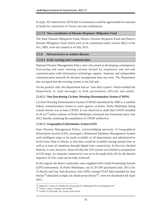In reply, KP stated (June 2013) that Government would be approached for sanction of funds for conversion of Tavera cars into ambulances.

## **2.1.7.6 Non-constitution of Disaster Response/ Mitigation Fund**

The State Disaster Mitigation Fund, District Disaster Response Fund and District Disaster Mitigation Fund which were to be constituted under section 48(1) of the Act, 2005, were not created as of July 2013.

## **2.1.8 Infrastructure to combat disaster**

## **2.1.8.1 Early warning and communication**

National Disaster Management Policy *inter alia* aimed at developing contemporary forecasting and early warning systems backed by responsive and fail-safe communication with information technology support. Separate and independent communication network for disaster management does not exist. The Department also accepted that the existing system is not fail-safe.

On the positive side, the Department had an "sms-alert system" which enabled the Department to send messages to both government officials and public.

## **2.1.8.1.1 Non functioning Cyclone Warning Dissemination System (CWDS)**

Cyclone Warning Dissemination System (CWDS) introduced by IMD is a satellite linked communication system to warn against cyclones. Purba Medinipur being coastal district was to have CWDS. It was observed in audit that CWDS installed in all six<sup>18</sup> police stations of Purba Medinipur remained non functional since July 2012 thereby rendering the installation of CWDS ineffective.

## **2.1.8.1.2 Geographical Information System (GIS)**

State Disaster Management Policy, acknowledging necessity of Geographical Information System (GIS), envisaged a Relational Database Management System with intelligent maps to be made available to all departments and administrative levels from State to blocks so that data would be available during normal time as well as at time of calamities through digital inter connectivity. In five test checked districts, it was, however, observed that the GIS system was limited to preparation of GIS maps. As requisite connectivity was yet to be made (July 2013), the desired objective of GIS could not be fully achieved.

In this regard, the district authorities were supplied with Global Positioning System (GPS) instruments. In Purba Medinipur, out of 29 GPS purchased (July 2011) for 25 blocks and four Sub-divisions, four GPSs costing  $\bar{\tau}$  0.83 lakh intended for four blocks<sup>19</sup> identified as high risk flood-prone blocks<sup>20</sup>, were not distributed till April 2013.

<sup>18</sup> *Digha PS, Contai PS, Haldia PS, Durgachak PS, Mahisadal PS and Nandigram PS*

<sup>19</sup> *Contai-I, Egra-I, Haldia and Tamluk*

<sup>20</sup> *Contai-I is also high risk cyclone prone block.*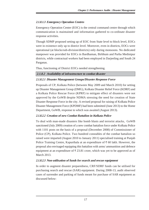## **2.1.8.1.3 Emergency Operation Centres**

Emergency Operation Center (EOC) is the central command centre through which communication is maintained and information gathered to co-ordinate disaster response activities.

Though SDMP proposed setting up of EOC from State level to block level, EOCs were in existence only up to district level. Moreover, even in districts, EOCs were operational (at blocks/sub-division/districts) only during monsoons. No dedicated manpower was provided for EOCs in Bardhaman, Birbhum and Purba Medinipur districts, while contractual workers had been employed in Darjeeling and South 24 Parganas.

Thus, functioning of District EOCs needed strengthening.

## **2.1.8.2 Availability of infrastructure to combat disaster**

## **2.1.8.2.1 Disaster Management Groups/Disaster Response Force**

Proposals of CP, Kolkata Police (between May 2009 and March 2010) for setting up Disaster Management Group (DMG), Kolkata Disaster Relief Force (KDRF) and a Kolkata Police Rescue Force (KPRF) to mitigate effect of disasters were not approved by the GoWB despite NDMA stressing the need for creation of State Disaster Response Force in the city. A revised proposal for raising of Kolkata Police Disaster Management Force (KPDMF) had been submitted (June 2013) to the Home Department, GoWB, response to which was awaited (August 2013).

## **2.1.8.2.2 Creation of new Combat Battalion in Kolkata Police**

To deal with man-made disasters like bomb blasts and terrorist attacks, GoWB sanctioned (July 2009) creation of a new combat battalion force under Kolkata Police with 1101 posts on the basis of a proposal (December 2008) of Commissioner of Police (CP), Kolkata Police. Two hundred constables of the combat battalion so raised were imparted (August 2010 to January 2011) specialised training at Punjab Police Training Centre, Kapurthala at an expenditure of  $\bar{\tau}$  60 lakh. However, the proposal also envisaged equipping this battalion with arms/ ammunition and defence equipment at an expenditure of  $\bar{\tau}$  23.81 crore, which was yet to be approved as of March 2013

## **2.1.8.2.3 Non-utilisation of funds for search and rescue equipment**

In order to augment disaster preparedness, CRF/SDRF funds can be utilised for purchasing search and rescue (SAR) equipment. During 2008-13, audit observed cases of surrender and parking of funds meant for purchase of SAR equipment as discussed below: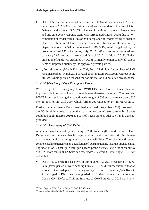- Out of  $\bar{\tau}$  5.68 crore sanctioned between June 2008 and September 2012 to two departments<sup>21</sup>,  $\overline{\tau}$  3.07 crore (54 *per cent*) was surrendered. In case of Civil Defence, entire funds of  $\bar{\tau}$  24.65 lakh meant for training of three police platoons and one emergency response team, was surrendered (March 2009) due to noncompletion of tender formalities or non-acceptance of tenders owing to absence of at least three valid tenders as per procedure. In case of Home (Police) Department, out of  $\bar{\tau}$  5.43 crore released to DG & IG, West Bengal Police, for procurement of 131 SAR items, only 86 ( $\bar{\tau}$  2.61 crore) were procured and balance  $\bar{\tau}$  2.82 crore was surrendered (March 2012 and March 2013). Underutilisation of funds was attributed by  $DG \& IG$  mainly to non-supply of various items of imported quality by the approved private parties.
- $\bar{\tau}$  20 lakh allotted (March 2011) to DM, Purba Medinipur for purchase of SAR remained parked (March 2011 to April 2013) in DM's PL account without being utilised. Audit query on reasons for non-utilisation did not elicit any response.

## **2.1.8.2.4 West Bengal Civil Emergency Force**

West Bengal Civil Emergency Force (WBCEF) under Civil Defence plays an important role in saving of human lives at times of disasters. Records of Commandant, WBCEF disclosed that against sanctioned strength of 533 staff, there were only 326 men in position in April 2007 which further got reduced to 147 in March 2012.

Further, though Finance Department had approved (December 2008) proposal to buy 50 aluminium boats to strengthen existing rescue infrastructure, only 13 boats could be bought (March 2010) at a cost of  $\bar{\tau}$  1.83 crore as adequate funds were not provided.

## **2.1.8.2.4.1 Revamping of Civil Defence**

A scheme was launched by GoI in April 2009 to strengthen and revitalize Civil Defence (CD) to ensure that it played a significant role, *inter alia*, in disaster management while retaining its primary responsibilities. The scheme had several components like strengthening/ upgradation of existing training institute, strengthening/ upgradation of CD set up in multiple-hazard-prone districts, etc. Out of an outlay of  $\overline{\xi}$  7.29 crore for 2009-12. State had received  $\overline{\xi}$  5.52 crore till mid-July 2012. Audit noted that:

Out of  $\bar{\tau}$  5.52 crore released by GoI during 2009-12, UCs in respect of  $\bar{\tau}$  37.60 lakh (seven *per cent*) were pending (July 2012). Audit further noticed that an amount of  $\bar{\tau}$  45 lakh paid to executing agency (Executive Engineer (A-I), Kolkata Agri-Irrigation Division) for upgradation of infrastructure<sup>22</sup> at the existing Central Civil Defence Training Institute of GoWB in March 2012 was shown

<sup>21</sup> *Civil Defence: 24.65 lakh, Home (Police): 5.43 crore.*

<sup>22</sup> *Construction of lecture hall, rescue tower and shed for vehicles at the institute.*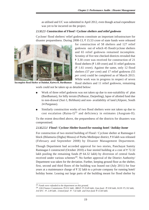as utilised and UC was submitted in April 2012, even though actual expenditure was yet to be incurred on the project.

## **2.1.8.2.5 Construction of Flood / Cyclone shelters and relief godowns**

Cyclone/ flood shelters/ relief godowns constitute an important infrastructure for disaster preparedness. During 2008-13,  $\overline{\tau}$  15.53 crore of state funds were released



Incomplete flood Shelter at Dainhat, Katwa-II, Bardhaman

for construction of 58 shelters and 127 relief godowns out of which 45 flood/cyclone shelters and 65 relief godowns remained incomplete. Scrutiny of five test checked districts revealed that  $\bar{\tau}$  3.30 crore was received for construction of 21 flood shelters ( $\bar{\tau}$  1.69 crore) and 31 relief godowns  $($ ₹ 1.61 crore). Against the same, only 12 flood shelters (57 *per cent*) and 17 relief godowns (55 *per cent*) could be completed as of March 2013. While work was in progress in respect of seven

flood shelters and 11 relief godowns, remaining

work could not be taken up as detailed below:

- Work of three relief godowns was not taken up due to non-suitability of plan (Bardhaman), for hilly terrain (Pulbazar, Darjeeling), lapse of allotted fund due to non-drawal (Suri I, Birbhum) and non- availability of land (Alipore, South 24 Parganas).
- Similarly construction works of two flood shelters were not taken up due to cost escalation (Raina-I)<sup>23</sup> and deficiency in estimates (Ausgram-II).

To the extent described above, the preparedness of the districts for disasters was compromised.

## **2.1.8.2.5.1 Flood / Cyclone Shelter leased for running hotel / holiday home**

For construction of two storied building of Flood / Cyclone shelter at Ramnagar-I block (Bilamuria (Digha) Mouza) of Purba Medinipur district,  $\bar{\tau}$  8 lakh was released (February and September 2008) by Disaster Management Department.

Though Department had accorded approval for two stories, Panchayat Samity Ramnagar-I constructed (October 2010) a four storied building at a cost of  $\overline{z}$  72.32 lakh pooling the remaining funds ( $\bar{\tau}$  64.32 lakh) by diversion of central funds received under various schemes<sup>24</sup>. No further approval of the District Authority/ Department was taken for the deviation. Further, keeping ground floor as the shelter, first, second and third floors of the building was leased out (July 2011) for four years at a maintenance charge of  $\bar{\tau}$  32 lakh to a private company for running hotel/ holiday home. Leasing out large parts of the building meant for flood shelter by

<sup>23</sup> *Funds were refunded to the department on this ground.*

<sup>24</sup> *12th Finance Commission- 8.51 lakh , BRGF- 19.49 lakh, Ujan fund - 9.90 lakh, SGSY- 2.92 lakh, 3rd SFC - 2.49 lakh , Untied fund - 7.42 lakh and Own fund- 13.60 lakh.*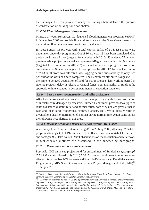the Ramnagar-I PS to a private company for running a hotel defeated the purpose of construction of building for flood shelter.

## **2.1.8.2.6 Flood Management Programme**

Ministry of Water Resources, GoI launched Flood Management Programme (FMP) in November 2007 to provide financial assistance to the State Governments for undertaking flood management works in critical areas.

In West Bengal, 16 projects with a total capital outlay of  $\bar{\tau}$  1871.85 crore were undertaken under this programme. Out of 16 projects, 13 have been completed. One project on Saraswati river (targeted for completion in 2010-11) achieved 75 *per cent* progress, while project on Kaliaghai-Kapaleswari-Baghai basin in Paschim Medinipur (targeted for completion in 2011-12) achieved 40 *per cent* progress. Project on embankment of Sundarban targeted for completion by 2011-12, for which an outlay of  $\bar{\tau}$  1339.50 crore was allocated, was lagging behind substantially as only two *per cent* of the work had been completed. The Department attributed (August 2013) the same to delayed acquisition of land for major projects, less working period in riverine projects, delay in release of Central funds, non-availability of funds at the appropriate time, changes in design parameters at execution stage, etc.

## **2.1.9 Post disaster reconstruction and relief assistance**

After the occurrence of any disaster, Department provides funds for reconstruction of infrastructure damaged by disasters. Further, Department provides two types of relief assistance-disaster relief and normal relief, both of which are given either in cash and /or in kind (foodgrains, clothes, blankets, etc.). While disaster relief is given after a disaster, normal relief is given during normal time. Audit came across the following irregularities in this area.

## **2.1.9.1 Reconstruction and Relief work post-cyclone AILA 2009**

A severe cyclone 'Aila' had hit West Bengal25 on 25 May 2009, affecting 67.74 lakh people and taking a toll of 197 human lives. It affected crop area of 4.47 lakh hectares and damaged 9.59 lakh houses. Audit observations on reconstruction and relief work in test-checked districts are discussed in the succeeding paragraphs.

## **2.1.9.1.1 Restoration works on embankments**

Post-Aila, GOI enhanced project fund for embankment of Sunderbans (**paragraph 2.1.8.2.6**) and sanctioned (July 2010)  $\bar{\tau}$  5032 crore for flood protection in two worst affected districts of North 24 Parganas and South 24 Parganas under Flood Management Programmes (FMP). State Government set up a Project Management Unit (PMU)<sup>26</sup> in August 2010.

<sup>25</sup> *Districts affected were South 24-Parganas, North 24-Parganas, Howrah, Kolkata, Hooghly, Bardhaman, Birbhum, Bankura, Uttar Dinajpur, Dakshin Dinajpur and Darjeeling*

<sup>26</sup> *Headed by an officer in the rank of Chief Engineer with 3 Project Directors in the rank of Superintending Engineer, 12 Project Managers in the rank of Executive Engineer, 22 Project Engineers in the rank of Asstt. Engineer and 19 Estimators, 63 Junior Engineers all in the rank of Sub-Asstt. Engineers. Three senior level officers of the WBA&AS on deputation for functioning of the Accounts Branch of the PMU. The office of the dedicated PMU located at 9th floor of Jalasampad Bhawan.*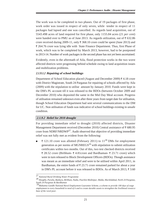The work was to be completed in two phases. Out of 19 packages of first phase, work order was issued in respect of only seven, while tender in respect of 11 packages had lapsed and one was cancelled. As regards land acquisition, out of 5543.498 acres of land required for first phase, only 1155.84 acres (21 *per cent*) were handed over to PMU as of June 2013. As regards utilization, out of  $\bar{\tau}$  632.86 crore received during 2009-11, only  $\bar{\tau}$  368.10 crore could be spent (June 2013) and 264.76 crore was lying idle with State Finance Department. Thus, first Phase of work, which was to be completed by March 2013, however, had to be postponed to 2013-14. Number of work packages in the second phase has not yet been ascertained.

Evidently, even in the aftermath of Aila, flood protection works in the two worst affected districts were progressing behind schedule owing to land acquisition issues and mobilization problems.

## **2.1.9.1.2 Repairing of school buildings**

Department of School Education placed (August and December 2009)  $\bar{\tau}$  4.18 crore with District Magistrate, South 24 Parganas for repairing of schools affected by Aila (2009) with the stipulation to utilise amount by January 2010. Funds were kept in the DM's PL account till it was released to the BDOs (between October 2009 and December 2010) who deposited the same in the Mid Day Meal account. Progress of utilisation remained unknown even after three years from target date for utilisation, though School Education Department had sent several communications to the DM for UC. Non utilisation of funds was indicative of school buildings existing in unsafe condition.

## **2.1.9.2 Relief for 2010 drought**

For providing immediate relief to drought (2010) affected districts, Disaster Management Department received (December 2010) Central assistance of  $\bar{\tau}$  680.95 crore from NDRF/NRDWP27. Audit observed that objective of providing immediate relief was not fully met as evident from the following:

₹ 121.10 crore was allotted (February 2011) to  $11^{28}$  DMs for employment generation as per norms of MGNREGS<sup>29</sup> with stipulation to submit utilization certificates within two months. Out of this, two test checked districts received  $\bar{\xi}$  28.52 crore (Birbhum-  $\bar{\xi}$  4.81 crore and Bardhaman-  $\bar{\xi}$  23.71 crore) which were in turn released to Block Development Officers (BDOs). Though assistance was meant as an immediate relief and were to be utilised within April 2011, in Bardhaman, the entire funds of  $\bar{\tau}$  23.71 crore remained parked for about a year in DM's PL account before it was released to BDOs. As of March 2013,  $\overline{\tau}$  3.60

<sup>27</sup> *National Rural Drinking Water Programme* <sup>28</sup> *Hooghly, Purulia, Bankura, Birbhum, Nadia, Paschim Medinipur, Malda, Murshidabad, North 24 Parganas, South 24 Parganas & Bardhaman*

<sup>29</sup>*Mahatma Gandhi National Rural Employment Guarantee Scheme, a scheme to provide 100 days of wage employment to every household in need of it and to create durable assets to strengthen the livelihood resource base of the rural poor.*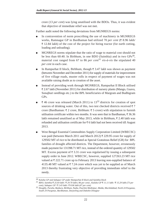crore (13 *per cent*) was lying unutilised with the BDOs. Thus, it was evident that objective of immediate relief was not met.

Further audit noted the following deviations from MGNREGS norms:

- In contravention of norm proscribing the use of machinery in MGNREGS works, Ramnagar GP in Bardhaman had utilized 70 *per cent* (₹8.96 lakh/  $\bar{\tau}$  12.84 lakh) of the cost of the project for hiring tractor (for earth cutting, loading and unloading).
- MGNREGS norms stipulate that the ratio of wage to material cost should not be less than 60:40. In Birbhum, in one BDO (Sainthia) and in two  $\text{GPs}^{30}$ . material cost ranged from 67 to 86 *per cent*<sup>31</sup> *vis-à-vis* the stipulated 40 *per cent* in each case.
- In Rampurhat II block, Birbhum, though  $\bar{\tau}$  3.47 lakh was shown as payment (between November and December 2011) for supply of materials for improvement of five village roads, muster rolls in respect of payment of wages was not available raising doubt as to creation of the asset.
- Instead of providing work through MGNREGS, Rampurhat II Block utilised  $\bar{\tau}$  2.67 lakh (November 2011) for distribution of nursery plants (Mango, Guava, Sonajhuri seedlings etc.) to the BPL beneficiaries of Margram and Budhigram GPs.
- $\bar{\xi}$  46 crore was released (March 2011) to 13<sup>32</sup> districts for creation of spot sources of drinking water. Out of this, two test checked districts received  $\bar{\tau}$  7 crore (Bardhaman:  $\bar{\tau}$  2 crore, Birbhum:  $\bar{\tau}$  5 crore) with stipulation to furnish utilisation certificate within two months. It was seen that in Bardhaman,  $\bar{\tau}$  36.36 lakh remained unutilised as of May 2013, while in Birbhum,  $\bar{\tau}$  2.40 lakh was refunded and utilisation certificate for  $\bar{\tau}$  6 lakh had not been received till August 2013.
- West Bengal Essential Commodities Supply Corporation Limited (WBECSC) was paid (between March 2011 and March 2012)  $\bar{\tau}$  229.95 crore for supply of 129502 MT of rice to be distributed as Special Gratuitous Relief (GR) for BPL families of drought affected districts. The Department, however, erroneously made payment for 131398.71 MT rice, instead of the ordered quantity of 129502 MT. Excess payment of  $\bar{\tau}$  3.31 crore was regularised by issuing a subsequent supply order in June 2012. WBECSC, however, supplied 127263.23 MT rice valued at  $\bar{\tau}$  222.71 crore up to February 2013 leaving non-supplied balance of 4135.48 MT valued at  $\overline{\tau}$  7.24 crore which was yet to be supplied as of March 2013 thereby frustrating very objective of providing immediate relief to the needy.

*<sup>30</sup> Kaluha GP and Sahapur GP under Rampurhat II block and Sainthia block*

*<sup>31</sup> BDO, Sainthia 25.64 lakh / 29.70 lakh ( 86 per cent) , Kaluha GP 11.11 lakh / 15.29 lakh (73 per cent), Sahapur GP 5.43 lakh / 8.06 lakh (67 per cent)*

*<sup>32</sup> Hooghly, Purulia, Bankura, Birbhum, Nadia, Paschim Medinipur, Malda, Murshidabad, North 24 Parganas, South 24 Parganas, Bardhaman, Darjeeling and Dakshin Dinajpur*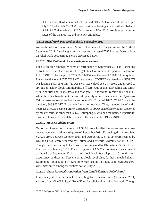Out of above, Bardhaman district received 30132 MT of special GR rice upto July 2012, of which 28683 MT was distributed leaving an undistributed balance of 1449 MT rice valued at  $\bar{\tau}$  2.54 crore as of May 2013. Audit enquiry on the status of the balance rice did not elicit any reply.

## **2.1.9.3 Relief work post earthquake in September 2011**

An earthquake of magnitude 6.9 on Richter scale hit Darjeeling on the 18th of September 2011. It took eight human lives and damaged 7787 houses. Observations on relief work post earthquake are discussed below.

## **2.1.9.3.1 Distribution of rice to earthquake victims**

For distribution amongst victims of earthquake of September 2011 in Darjeeling district, order was placed on West Bengal State Consumers' Co operative Federation Ltd (CONFED) for supply of 6755.7665 MT rice at the rate of  $\bar{\tau}$  2047.14 per quintal. It was seen that out of 6755.7665 MT rice ordered, CONFED delivered only 5352.679 MT leaving 1403.0875 MT (21 *per cent*) rice valued at  $\overline{\tau}$  2.87 crore undelivered to six Sub-division/ block/ Municipality officers. Out of this, Darjeeling and Mirik Municipalities and Phansidewa and Matigara BDOs did not receive any rice at all while the other two did not receive full quantity required as detailed in **Appendix 2.4**. In test-checked three blocks and one SDO<sup>33</sup>, out of 1842.375 MT rice to be received, 388.965 MT (21 *per cent*) was not received. Thus, intended benefits did not reach affected people. Further, distribution of 99 *per cent* of rice was not supported by muster rolls, as other than BDO, Kalimpong-I, who had maintained it partially, muster rolls were not available in any of the test checked Blocks/SDOs.

## **2.1.9.3.2 House Building grant**

Out of requirement of HB grant of  $\bar{\tau}$  34.99 crore for distribution to people whose houses were damaged in earthquake of September 2011, Darjeeling district received  $\bar{\tau}$  27.09 crore between October 2011 and October 2012 ( $\bar{\tau}$  21.24 crore reeived by DM and  $\overline{\xi}$  5.85 crore received by Gorkhaland Territorial Administration - GTA). Though funds amounting to  $\overline{\tau}$  21.24 crore was released by DM in time, GTA released funds only in January 2013. Thus, HB grants of  $\bar{\tau}$  5.85 crore meant for victims of earthquake of September 2011, reached block level after a lapse of 16 months from occurrence of disaster. Test-check at block level also, further revealed that in Kalimpong-I block, out of  $\bar{\tau}$  1.80 crore received only  $\bar{\tau}$  14.65 lakh (eight *per cent*) were distributed among the victims so far (July 2013).

## **2.1.9.3.3 Grant for repair/renovation from Chief Minister's Relief Fund**

Immediately after the earthquake, Darjeeling district had received (September 2011) 1 crore from Chief Minister's Relief Fund for relief and rehabilitation work. Though

<sup>33</sup> *SDO Kalimpong, BDOs Jorebunglow-Sukhiapokhri, Kalimpong-I and Kalimpong-II*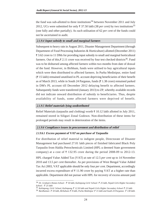the fund was sub-allotted to three institutions<sup>34</sup> between November 2011 and July 2012, UCs were submitted for only  $\bar{\tau}$  37.50 lakh (38 *per cent*) by two institutions<sup>35</sup> (one fully and other partially). As such utilisation of 62 *per cent* of the funds could not be ascertained in audit.

## **2.1.9.4 Input subsidy to small and marginal farmers**

Subsequent to heavy rain in August 2011, Disaster Management Department (through Department of Food Processing Industries & Horticulture) allotted (December 2011) 3.62 crore to 11 DMs for providing input subsidy to small and marginal horticultural farmers. Out of this,  $\bar{\xi}$  2.11 crore was received by four test checked districts<sup>36</sup>. Fund was to be disbursed among affected farmers within two months from date of drawal of the fund. However, in Birbhum, funds were utilised to buy agricultural inputs which were then distributed to affected farmers. In Purba Medinipur, entire fund  $(\bar{\tau})$  15 lakh) remained unutilised in PL account depriving beneficiaries of their benefit as of March 2013, while in South 24 Parganas, funds ( $\bar{\tau}$  1.38 crore) remained parked in DM's PL account till December 2012 delaying benefit to affected farmers. Subsequently funds were transferred (January 2013) to ZP, whereby available records did not indicate onward distribution of subsidy to beneficiaries. Thus, despite availability of funds, some affected farmers were deprived of benefit.

## **2.1.9.5 Relief materials lying undistributed**

Relief Materials (tarpaulin and clothing) worth  $\bar{\tau}$  10.12 lakh allotted in July 2011, remained stored in Siliguri Zonal Godown. Non-distribution of these items for prolonged periods may result in deterioration of the items.

## **2.1.9.6 Compliance issues in procurement and distribution of relief**

## **2.1.9.6.1 Excess payment of VAT on purchase of Tarpaulin**

For distribution of relief material to indigent people, Directorate of Disaster Management had purchased 27.01 lakh pieces of finished fabricated Black Poly Tarpaulin from Haldia Petrochemicals Limited (HPL-a deemed State government company) at a cost of  $\bar{\tau}$  132.95 crore during the period 2008-09 to 2012-13.

HPL charged Value Added Tax (VAT) at rate of 12.5 *per cent* up to 14 November 2010 and 13.5 *per cent* thereafter. As per provisions of West Bengal Value Added Tax Act 2003, VAT applicable should be only four *per cent*. Department, accordingly incurred excess expenditure of  $\bar{\tau}$  11.90 crore by paying VAT at a higher rate than applicable. Department did not pursue with HPL for recovery of excess amount paid

<sup>34</sup> *Dr. Graham's Homes School : 50 lakh, Kalimpong Girls' School: 25 lakh, Nepali Girls Higher Secondary School : 25 lakh*

<sup>35</sup> *Kalimpong, Girls' School, Kalimpong 12.50 lakh and Nepali Girls Higher Secondary School 25 lakh*

<sup>36</sup> *Bardhaman: 50 lakh, Birbuhum: 8 lakh, Purba Medinipur 15 lakh and South 24 Parganas: 138 lakh.*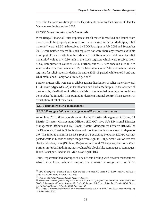even after the same was brought to the Departments notice by the Director of Disaster Management in September 2009.

## **2.1.9.6.2 Non-accountal of relief materials**

West Bengal Financial Rules stipulates that all material received and issued from Stores should be properly accounted for. In two cases, in Purba Medinipur, relief material<sup>37</sup> worth  $\bar{\tau}$  9.30 lakh received by BDO Patashpur in July 2008 and September 2011, were neither entered in stock registers nor were there any records available in support of their distribution. In Birbhum, BDO, Rampurhat-II did not enter relief materials<sup>38</sup> valued at  $\bar{\tau}$  0.80 lakh in the stock registers which were received from SDO, Rampurhat in October 2011. Further, out of 12 test-checked GPs in two selected districts (Bardhaman and Purba Medinipur), nine<sup>39</sup> did not maintain stock registers for relief materials during the entire 2009-13 period, while one GP and one ULB maintained it only for a limited period.<sup>40</sup>

Further, muster rolls were not available against distribution of relief materials worth 1.33 crore (**Appendix 2.5**) in Bardhaman and Purba Medinipur. In the absence of muster rolls, distribution of relief materials to the intended beneficiaries could not be vouchsafed in audit. This pointed to deficient internal controls/transparency in distribution of relief materials.

#### **2.1.10 Human resource management**

## **2.1.10.1Shortage of disaster management officers at various levels**

As of June 2013, there was shortage of nine Disaster Management Officers, 11 District Disaster Management Officers (DDMO), five Sub Divisional Disaster Management Officers and 150 Block Disaster Management Officers (BDMO) at the Directorate, Districts, Sub-divisions and Blocks respectively as shown in **Appendix 2.6**. This implied that in 11 districts (out of 18 excluding Kolkata), DDMO was not posted while in blocks shortage ranged from eight to 100 *per cent*. Out of five test checked districts, three (Birbhum, Darjeeling and South 24 Parganas) had no DDMO. Further, in Purba Medinipur, most vulnerable blocks like Ramnagar-I, Ramnagar-II and Patashpur-I had no BDMOs as of April 2013.

Thus, Department had shortages of key officers dealing with disaster management which can have adverse impact on disaster management activity.

<sup>37</sup> *BDO Patashpur-I - Woollen Blanket-1200 and Salwar Kamiz-300 worth 3.12 lakh and 300 quintals of Chira and 50 quintals Gur worth 6.18 lakh*

<sup>38</sup> *Woollen Blanket 200 pcs. and Male Wrapper 200 pcs.*

<sup>39</sup> *Bardhaman: Agradwip and Gazipur GP under BDO, Katwa-II, Bogpur GP under BDO, Purbasthali-I and Bhedia & Ramnagar GP under Ausgram-II ; Purba Medinipur: Bakcha and Srikantha GP under BDO, Moyna and Kalindi and Palduhi GP under BDO, Ramnagar-II*

<sup>40</sup> *Gokulpur GP,Purba Medinipur did not maintain stock register during 2009-11 and Bardhaman Municipality up to December 2012.*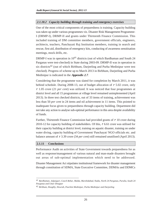## **2.1.10.2 Capacity building through training and emergency exercises**

One of the most critical components of preparedness is training. Capacity building was taken up under various programmes viz. Disaster Risk Management Programme-I (DRMP-I), DRMP-II and grants under Thirteenth Finance Commission. This included training of DM committee members, government officials, engineers, architects, teachers, Panchayati Raj Institution members, training in search and rescue, first aid, distribution of emergency kits, conducting of awareness sensitisation meetings, mock drills, etc.

DRMP-I was in operation in  $10^{41}$  districts (out of which Bardhaman and South 24 Parganas were test-checked) in State during 2003-09. DRMP-II was in operation in six districts<sup>42</sup> (out of which Birbhum, Darjeeling and Purba Medinipur were test checked). Progress of scheme up to March 2013 in Birbhum, Darjeeling and Purba Medinipur is indicated in the **Appendix 2.7**.

Considering that the programme was slated for completion by March 2011, it was behind schedule. During 2008-13, out of budget allocation of  $\bar{\tau}$  5.02 crore, only 1.05 crore (21 *per cent*) was utilized. It was noticed that four programmes at district level and all 15 programmes at village level remained unimplemented (April 2013). In three test checked districts, out of 33 items of training, achievement was less than 50 *per cent* in 24 items and nil achievement in 11 items. This pointed to inadequate focus given to preparedness through capacity building. Department did not take any action to analyse sub-optimal performance in this area despite availability of funds.

Further, Thirteenth Finance Commission had provided grants of  $\bar{\tau}$  10 crore during 2010-12 for capacity building of stakeholders. Of this,  $\bar{\tau}$  6.61 crore was utilised for their capacity building at district level, training on aquatic disaster, training on under water diving, capacity building of Government/ Panchayat/ NGO officials etc. and balance amount of  $\bar{\tau}$  3.39 crore (34 *per cent*) still remained unutilised (April 2013).

## **2.1.11 Conclusions**

Performance Audit on activities of State Government towards preparedness for as well as response/management of various natural and man-made disasters brought out areas of sub-optimal implementation which need to be addressed.

Disaster Management Act stipulates institutional framework for disaster management through constitution of SDMA, State Executive Committee, DDMAs and DDMCs

*<sup>41</sup> Bardhaman, Jalpaiguri, Cooch Behar, Malda, Murshidabad, Nadia, North 24 Parganas, Purulia, South 24 Parganas and Uttar Dinajpur*

*<sup>42</sup> Birbhum, Hooghly, Howrah, Paschim Medinipur, Purba Medinipur and Darjeeling*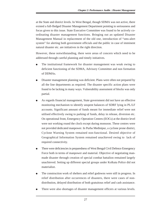at the State and district levels. In West Bengal, though SDMA was not active, there existed a full-fledged Disaster Management Department pointing to seriousness and focus given to this issue. State Executive Committee was found to be actively coordinating disaster management functions. Bringing out an updated Disaster Management Manual in replacement of the old one, introduction of "sms-alert system" for alerting both government officials and the public in case of imminent natural disaster etc. are initiatives in the right direction.

However, these notwithstanding, there were areas of concern which need to be addressed through careful planning and timely initiatives.

- The institutional framework for disaster management was weak owing to deficient functioning of the SDMA, Advisory Committee and non formation of DDMAs.
- Disaster management planning was deficient. Plans were often not prepared by all the line departments as required. The disaster specific action plans were found to be lacking in many ways. Vulnerability assessment of blocks was only partial.
- As regards financial management, State government did not have an effective monitoring mechanism to identify unspent balances of SDRF lying in PL/LF accounts. Significant amount of funds meant for immediate relief were not utilised effectively owing to parking of funds, delay in release, diversion etc. On operational front, Emergency Operation Centres (EOCs) at the district level were not working round the clock except during monsoon. These centres were not provided dedicated manpower. In Purba Medinipur, a cyclone prone district, Cyclone Warning System remained non-functional. Desired objective of Geographical Information System remained unachieved owing to lack of required connectivity.
- There were deficiencies in preparedness of West Bengal Civil Defence Emergency Force both in terms of manpower and material. Objective of negotiating manmade disaster through creation of special combat battalion remained largely unachieved. Setting up different special groups under Kolkata Police did not materialize.
- The construction work of shelters and relief godowns were still in progress. In relief distribution after occurrences of disasters, there were cases of nondistribution, delayed distribution of both gratuitous relief and cash assistance.
- There were also shortages of disaster management officers at various levels.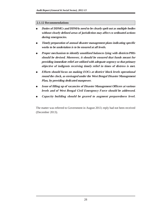## **2.1.12 Recommendations**

- **Duties of DDMCs and DDMAs need to be clearly spelt out as multiple bodies without clearly defined areas of jurisdiction may affect co ordinated actions during emergencies.**
- **Timely preparation of annual disaster management plans indicating specific works to be undertaken is to be ensured at all levels.**
- **Proper mechanism to identify unutilized balances lying with districts/PRIs should be devised. Moreover, it should be ensured that funds meant for providing immediate relief are utilized with adequate urgency so that primary objective of indigents receiving timely relief in times of distress is met.**
- **Efforts should focus on making EOCs at district/ block levels operational round the clock, as envisaged under the West Bengal Disaster Management Plan, by providing dedicated manpower.**
- **Issue of filling up of vacancies of Disaster Management Officers at various levels and of West Bengal Civil Emergency Force should be addressed.**
- Capacity building should be geared to augment preparedness level.

The matter was referred to Government in August 2013; reply had not been received (December 2013).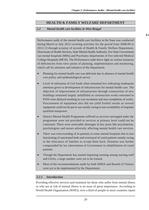## **HEALTH & FAMILY WELFARE DEPARTMENT**

## **2.2 Mental health care facilities in West Bengal**

Performance audit of the mental health care facilities in the State was conducted during March to July 2013 covering activities for the period from 2008-09 to 2012-13 through scrutiny of records of Health & Family Welfare Department, Directorate of Health Services, State Mental Health Authority, five State Government run mental hospitals (MHs) and Psychiatry departments of five selected Medical College Hospitals (MCH). The Performance audit threw light on various instances of deficiencies from view points of planning, implementation and monitoring, which call for attention and initiative of the Department.

- Planning for mental health care was deficient due to absence of mental health care policy and epidemiological survey.
- ➤ Level of utilisation of GoI funds often remained low indicating inadequate attention given to development of infrastructure for mental health care. The objective of improvement of infrastructure through construction of new buildings remained largely unfulfilled as construction works entrusted to PWD were delayed resulting in cost escalation and non-completion of works. Procurement of equipment also did not yield fruitful results as several equipment could not be put to use mainly owing to non-availability of requisite qualified manpower.
- ➤ District Mental Health Programme suffered as services envisaged under the programme were not provided or services at primary level could not be continued. There were noticeable shortages in key posts like psychiatrists, psychologists and nurses adversely affecting mental health care services.
- ➤ There was overcrowding of in-patients in some mental hospitals due to non functioning of sanctioned beds and overstayal of cured patients mainly owing to the reluctance of families to accept them back. Situation was further compounded by lax intervention of Government in rehabilitation of cured patients.
- ➤ Though the Department has started imparting training among nursing staff and GDAs, a large number were yet to be trained.
- ➤ Most of the recommendations made by both SMHA and Boards of Visitors were yet to be implemented by the Department.

## **2.2.1 Introduction**

Providing effective services and treatment for those who suffer from mental illness or who are at risk of mental illness is an issue of great importance. According to World Health Organisation (WHO), over a third of people in most countries report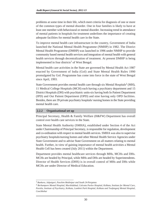problems at some time in their life, which meet criteria for diagnosis of one or more of the common types of mental disorder. One in four families is likely to have at least one member with behavioural or mental disorder. Increasing trend in attendance of mental patients in hospitals for treatment underlines the importance of creating adequate facilities for mental health care in the State.

To improve mental health care infrastructure in the country, Government of India launched the National Mental Health Programme (NMHP) in 1982. The District Mental Health Programme (DMHP) was launched in 1996 under NMHP to provide community based mental health services and integration of mental health with general health services through decentralization of treatment. At present DMHP is being implemented in four districts<sup>1</sup> of West Bengal.

Mental health care activities in the State are governed by Mental Health Act 1987 enacted by Government of India (GoI) and State Mental Health Rules 1990 promulgated by GoI. Programme has come into force in the state of West Bengal since April, 1993.

State Government provides mental health care through six Mental Hospitals<sup>2</sup> (MH), 11 Medical College Hospitals (MCH) each having a psychiatry department and 15 District Hospitals (DH) with psychiatric units-six having both In Patient Department (IPD) and Out Patient Department (OPD) and nine having only OPD facilities. Besides, there are 39 private psychiatry hospitals/ nursing homes in the State providing mental health care.

## **2.2.2 Organisational set up**

Principal Secretary, Health & Family Welfare (H&FW) Department has overall control over health care services in the State.

State Mental Health Authority (SMHA), established under Section 4 of the Act under Chairmanship of Principal Secretary, is responsible for regulation, development and co-ordination with respect to mental health services. SMHA was also to supervise psychiatry hospitals/nursing homes and other Mental Health Service Agencies under State Government and to advise State Government on all matters relating to mental health. Further, in view of gaining importance of mental health activities a Mental Health Cell has been created (July 2011) within the Department.

Department provides mental healthcare services through MHs, MCHs and DHs. MCHs are headed by Principal, while MHs and DHs are headed by Superintendents. Director of Health Services (DHS) is in overall control of MHs and DHs while MCHs are under Director of Medical Education.

<sup>1</sup> *Bankura, Jalpaiguri, Paschim Medinipur and South 24-Parganas*

<sup>2</sup> *Berhampore Mental Hospital, Murshidabad, Calcutta Pavlov Hospital, Kolkata, Institute for Mental Care, Purulia, Institute of Psychiatry, Kolkata, Lumbini Park Hospital, Kolkata and Toofangunj Mental Hospital, Coochbehar*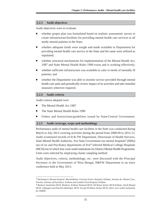## **2.2.3 Audit objectives**

Audit objectives were to evaluate

- whether proper plan was formulated based on realistic assessment/ survey to create infrastructure/facilities for providing mental health care services to all needy mental patients in the State;
- whether adequate funds were sought and made available to Department for providing mental health care service in the State and the same were utilized as stipulated;
- whether structural mechanisms for implementation of the Mental Health Act, 1987 and State Mental Health Rules 1990 exists and is working effectively;
- whether sufficient infrastructure was available to cater to needs of mentally ill patients; and
- whether the Department was able to monitor service provided through mental health care units and periodically review impact of its activities and take remedial measures wherever required.

## **2.2.4 Audit criteria**

Audit criteria adopted were

- The Mental Health Act 1987
- The State Mental Health Rules 1990
- Orders and Instructions/guidelines issued by State/Central Government.

## **2.2.5 Audit coverage, scope and methodology**

Performance audit of mental health care facilities in the State was conducted during March to July 2013 covering activities during the period from 2008-09 to 2012-13. Audit scrutinized records of H & FW Department, Directorate of Health Services, State Mental Health Authority, five State Government run mental hospitals<sup>3</sup> (MHs) out of six and Psychiatry departments of five4 selected Medical College Hospitals (MCH) out of which four were nodal institutions for District Mental Health Programme. Units were selected by employing cluster sampling method.

Audit objectives, criteria, methodology, etc. were discussed with the Principal Secretary to the Government of West Bengal, H&FW Department in an entry conference held in May 2013.

<sup>3</sup> *Berhampore Mental Hospital, Murshidabad, Calcutta Pavlov Hospital, Kolkata, Institute for Mental Care, Purulia, Institute of Psychiatry, Kolkata and Lumbini Park Hospital, Kolkata*

<sup>4</sup> *Bankura Sammilani MCH, Bankura, Kolkata National MCH, Nil Ratan Sarkar MCH Kolkata, North Bengal MCH, Jalpaiguri and Paschim Medinipur MCH. Except Nil Ratan Sarkar MCH, others were nodal institutions for DMHP.*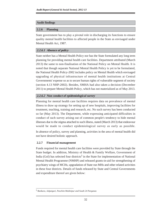## **Audit findings**

## **2.2.6 Planning**

State government has to play a pivotal role in discharging its functions to ensure quality mental health facilities to affected people in the State as envisaged under Mental Health Act, 1987.

## **2.2.6.1 Absence of policy**

State neither has a Mental Health Policy nor has the State formulated any long term planning for providing mental health care facilities. Department attributed (March 2013) the same to non-finalisation of the National Policy on Mental Health. It is noted that though separate National Mental Health Policy is yet to be formulated, the National Health Policy-2002 includes policy on Mental Health which envisaged upgrading of physical infrastructure of mental health institutions at Central Governments' expense so as to secure human rights of vulnerable segment of society (section 4.13 NHP-2002). Besides, SMHA had also taken a decision (December 2011) to prepare Mental Health Policy, which has not materialized as of May 2013.

## **2.2.6.2 Non conduct of epidemiological survey**

Planning for mental health care facilities requires data on prevalence of mental illness to draw up strategy for setting up of new hospitals, improving facilities for treatment, teaching, training and research, etc. No such survey has been conducted so far (May 2013). The Department, while expressing anticipated difficulties in conduct of such survey arising out of common people's tendency to hide mental illnesses due to the stigma attached to such illness, stated (March 2013) that endeavour would be made to conduct epidemiological survey as early as possible.

In absence of policy, survey and planning, activities in the area of mental health did not have desired holistic approach.

## **2.2.7 Financial management**

Funds required for mental health care facilities were provided by State through the State budget. In addition, Ministry of Health & Family Welfare, Government of India (GoI) has selected four districts<sup>5</sup> in the State for implementation of National Mental Health Programme (NMHP) and released grants-in-aid for strengthening of psychiatry wings of MCHs, upgradation of State run MHs and other related activities in these four districts. Details of funds released by State and Central Governments and expenditure thereof are given below:

<sup>5</sup> *Bankura, Jalpaiguri, Paschim Medinipur and South 24 Parganas*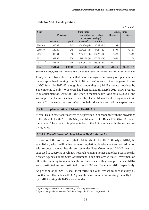| Table No 2.2.1: Funds position |  |  |
|--------------------------------|--|--|
|--------------------------------|--|--|

 $($  $\bar{\tau}$  *in lakh* $)$ 

| Year         |                |                  | <b>State funds</b>              |                | <b>Central funds</b> |                 |
|--------------|----------------|------------------|---------------------------------|----------------|----------------------|-----------------|
|              |                | <b>Provision</b> | <b>Expenditure</b> (percentage  |                | <b>Received</b>      | <b>Utilised</b> |
|              |                |                  | of excess or savings)           |                |                      |                 |
|              | <b>Revenue</b> | <b>Capital</b>   | Revenue <sup>6</sup>            | <b>Capital</b> |                      |                 |
| 2008-09      | 1316.87        | 245              | $1245.30(-5)$                   | $45.92(-81)$   | <b>Nil</b>           |                 |
| 2009-10      | 1640.49        | 245              | 1864.91 (14)                    | $44.34(-82)$   | 549.8                | 421.91          |
| 2010-11      | 1803.64        | 350              | 2052.70 (14)                    | $104.25(-70)$  | 15.82                | 15.82           |
| $2011 - 12$  | 2027.06        | 320              | 2191.30(8)                      | $160.73(-50)$  | 20.99                | 11.54           |
| $2012 - 137$ | 2743.53        | 400              | $183.16(-54)$<br>$2316.96(-15)$ |                | 1417.72              | 15.14           |
| <b>Total</b> | 9531.59        | 1560.00          | 9671.17(1)                      | $538.40(-65)$  | 2004.33              | $464.41(-77)$   |

*Source: Budget figures and sanctions from GoI and utilization certificates furnished by the institutions.*

It may be seen from above table that there was significant savings/unspent amount under capital head ranging from 50 to 82 *per cent* in each of the five years. In case of GOI funds for 2012-13, though fund amounting to  $\bar{\tau}$  14.18 crore was received by September 2012 only  $\bar{\tau}$  0.15 crore had been utilized till March 2013. Slow progress in establishment of Centre of Excellence in mental health (*vide* para 2.2.8.2.1) and vacant posts in the medical teams under the District Mental Health Programme (*vide* para 2.2.8.3) were reasons *inter alia* behind such shortfall in expenditure.

## **2.2.8 Implementation of Mental Health Act**

Mental Health care facilities were to be provided in consonance with the provisions of the Mental Health Act 1987 (Act) and Mental Health Rules 1990 (Rules) framed thereunder. The extent of implementation of the Act is indicated in the succeeding paragraphs.

## **2.2.8.1 Establishment of State Mental Health Authority**

Section 4 of the Act requires that a State Mental Health Authority (SMHA) be established, which will be in charge of regulation, development and co ordination with respect to mental health services under State Government. SMHA was also supposed to supervise psychiatry hospitals /nursing homes and other Mental Health Service Agencies under State Government. It can also advise State Government on all matters relating to mental health. In consonance with above provisions SMHA was constituted and reconstituted in July 2003 and December 2011 respectively.

As per stipulation, SMHA shall meet thrice in a year (revised to once in every six months from December 2011). Against the same, number of meetings actually held by SMHA during 2008-13 were as under:

<sup>6</sup> *Figures in parenthesis indicate percentage of savings (-)/excess (+)*

<sup>7</sup> *Figures of expenditure incurred from State Budget for 2012-13 are provisional*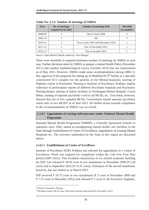| Year        | No. of meetings<br>required to be held | Number of meetings held            | <b>Shortfall</b><br>(in number) |
|-------------|----------------------------------------|------------------------------------|---------------------------------|
| 2008-09     |                                        | One in April 2008                  |                                 |
| 2009-10     |                                        | Nil                                | 3                               |
| 2010-11     |                                        | Two in June 2010 and December 2010 |                                 |
| $2011 - 12$ |                                        | One in December 2011               |                                 |
| 2012-13     |                                        | One in October 2012                |                                 |

**Table No. 2.2.2: Number of meetings of SMHA**

*Source: State Mental Health Authority, West Bengal*

There were shortfalls in required minimum number of meetings by SMHA in each year. Further decisions taken by SMHA to prepare a mental Health Policy (December 2011) and conduct Epidemiological survey (October 2012) has not materialized as of May 2013. However, SMHA made some recommendations during 2008-13, like, approval of the proposals for setting up of Modified  $ECT<sup>8</sup>$  facility in a specially constructed ECT complex for the patients of the Mental hospitals; starting of Diploma course in Psychiatric Nursing in Institute of Psychiatry, Kolkata; regular collection of performance reports of different Psychiatry hospitals and Psychiatric Nursing homes; starting of indoor facilities in Toofanganj Mental Hospital, Cooch Behar; starting of separate psychiatry ward in all MCHs, etc. Test-check, however, showed that out of five sampled MCHs, Government started separate psychiatry wards only in two  $MCHs<sup>9</sup>$  as of June 2013. No further action towards compliance to the recommendations of SMHA was on record.

## **2.2.8.2 Upgradation of existing infrastructure under National Mental Health Programme**

National Mental Health Programme (NMHP), a Centrally Sponsored Scheme in operation since 1982, aimed at strengthening mental health care facilities in the State through establishment of Centre of Excellence, upgradation of existing Mental Hospitals etc. The activities undertaken by the State in this regard are discussed below:

## **2.2.8.2.1 Establishment of Centre of Excellence**

Institute of Psychiatry (IOP), Kolkata was selected for upgradation to a Centre of Excellence. Work was targeted for completion within the 11th Five Year Plan period (2007-2012). This included construction of six storied academic building for IOP. GoI released  $\bar{\tau}$  18.59 crore in two instalments in November 2009 ( $\bar{\tau}$  5.28 crore) and in September 2012 ( $\bar{\tau}$  13.31 crore). Utilisation of the second instalment, however, has not started as of March 2013.

IOP received  $\bar{\tau}$  10.75 crore in two instalments ( $\bar{\tau}$  3 crore in November 2009 and  $\bar{\xi}$  7.75 crore in December 2012) and released  $\bar{\xi}$  3 crore to the Executive Engineer,

<sup>8</sup> *Electro-Convulsive Therapy*

<sup>9</sup> *Nil Ratan Sarkar MCH (June 2010) and Calcutta National MCH (November 2011)*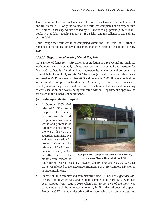PWD Suburban Division in January 2011. PWD issued work order in June 2011 and till March 2013, only the foundation work was completed at an expenditure of  $\bar{\tau}$  2 crore. Other expenditure booked by IOP included equipment ( $\bar{\tau}$  46.38 lakh), books ( $\bar{\tau}$  3.50 lakh), faculty support ( $\bar{\tau}$  48.75 lakh) and miscellaneous expenditure  $($ ₹ 1.48 lakh).

Thus, though the work was to be completed within the 11th FYP (2007-2012), it remained at the foundation level after more than three years of receipt of funds by IOP.

## **2.2.8.2.2 Upgradation of existing Mental Hospitals**

GoI sanctioned funds for 4.89 crore for upgradation of three Mental Hospitals *viz* Berhampur Mental Hospital, Calcutta Pavlov Mental Hospital and Institute for Mental Care. Details of work undertaken, expenditure incurred and present status of work is indicated in **Appendix 2.8**. The works (through five work orders) were entrusted to PWD between October 2005 and December 2005. However, only three works could be completed upto March 2013. Scrutiny of records showed instances of delay in according financial/administrative sanctions and slow execution leading to cost escalation and works being truncated without Department's approval as discussed in the subsequent paragraphs.

## **(i) Berhampur Mental Hospital:**

In October 2005, GoI released  $\overline{\xi}$  2.95 crore to Superintendent, Berhampore Mental Hospital for construction works and purchase of furniture and equipment. GoWB, however, accorded administrative and financial sanction for construction works estimated at  $\overline{\tau}$  2.81 crore only in February 2007, i.e. after a lapse of 15 months from release of



**Incomplete OPD complex and administrative block, Berhampore Mental Hospital (May 2013)**

funds for no recorded reasons. Between January 2008 and May 2010,  $\bar{\tau}$  2.81 crore was released to the Executive Engineer, PWD, Berhampore Division II in three instalments.

In case of OPD complex and administrative block (Sl no. 1 of **Appendix 2.8**), construction of which was targeted to be completed by April 2010, work has been stopped from August 2010 when only 50 *per cent* of the work was completed though the estimated amount ( $\bar{\tau}$  74.58 lakh) had been fully spent. Presently, OPD and administrative offices were being run from a two storied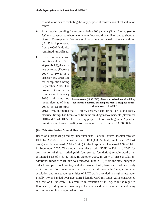rehabilitation centre frustrating the very purpose of construction of rehabilitation centre.

● A two storied building for accommodating 200 patients (Sl no. 2 of **Appendix 2.8**) was constructed whereby only one floor could be utilized due to shortage of staff. Consequently furniture such as patient cots, steel locker etc. valuing

 21.95 lakh purchased from the GoI funds also remained unutilised.

In case of residential building (Sl. no. 3 of **Appendix 2.8**), the work was entrusted (February 2007) to PWD as a deposit work, target date for completion being September 2008. The construction work commenced in January incomplete as of May 2013. In September



2008 and remained **Present status (14.05.2013) of four-storied residential building for nurses' quarters, Berhampore Mental Hospital under GoI fund received in 2005**

2012, PWD intimated that GI pipes, cistern, basin, urinal, grills and costly electrical fittings had been stolen from the building in two incidents (November 2010 and April 2012). Thus, the very purpose of constructing nurses' quarters remains unachieved leading to blockage of GoI funds of  $\overline{5}$  58.08 lakh.

## **(ii) Calcutta Pavlov Mental Hospital:**

Based on a proposal placed by Superintendent, Calcutta Pavlov Hospital through DHS for  $\bar{\tau}$  2.68 crore to construct new OPD ( $\bar{\tau}$  36.58 lakh), male ward ( $\bar{\tau}$  1.44 crore) and female ward ( $\bar{\tau}$  87.27 lakh) in the hospital, GoI released  $\bar{\tau}$  94.40 lakh in September 2005. The amount was placed with PWD in February 2007 for construction of three storied (with four storied foundation) female ward at an estimated cost of  $\bar{\tau}$  87.27 lakh. In October 2009, in view of price escalation, additional funds of  $\bar{\tau}$  10 lakh was released (June 2010) from the state budget in order to complete civil, sanitary and allied works. PWD, however, constructed only up to the first floor level to restrict the cost within available funds, citing cost escalation and inadequate quantities of RCC work provided in original estimate. Finally, PWD handed over two storied female ward in August 2011 constructed at a cost of  $\bar{\tau}$  1.04 crore. This resulted in reduction of 446 Sq. m in the required floor space, leading to overcrowding in the wards and more than one patient being accommodated in a single bed at times.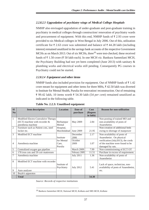## **2.2.8.2.3 Upgradation of psychiatry wings of Medical College Hospitals**

NMHP also envisaged upgradation of under-graduate and post-graduate training in psychiatry in medical colleges through construction/ renovation of psychiatry wards and procurement of equipment. With this end, NMHP funds of  $\bar{\tau}$  2.93 crore were provided to six Medical colleges in West Bengal in July 2006. Out of this, utilization certificate for  $\bar{\tau}$  2.63 crore was submitted and balance of  $\bar{\tau}$  44.28 lakh (including interest) remained unutilized in the savings bank accounts of the respective Government MCHs as on March 2013. Out of six MCHs, three<sup>10</sup> were test-checked, these received funds of ₹1.50 crore (₹50 lakh each). In one MCH *viz*. Bankura Sammilani MCH, the Psychiatry Building had not yet been completed (June 2013) with sanitary & plumbing works and electrical works still pending. Consequently PG courses in Psychiatry could not be started.

## **2.2.8.2.4 Equipment and other items**

NMHP funds also included provision for equipment. Out of NMHP funds of  $\bar{\tau}$  1.42 crore meant for equipment and other items for three MHs,  $\bar{\tau}$  42.50 lakh was diverted to Institute for Mental Health, Purulia for renovation/ reconstruction. Out of remaining ₹ 99.42 lakh, 10 items worth ₹ 54.30 lakh (54 *per cent*) remained unutilized as indicated in the following table.

| <b>SI</b><br>N <sub>o</sub> | <b>Item description</b>                                                                      | <b>Location</b>                | Date of<br>purchase | Cost<br>(Rupees<br>in lakh) | <b>Reason for non-utilisation</b>                                                         |
|-----------------------------|----------------------------------------------------------------------------------------------|--------------------------------|---------------------|-----------------------------|-------------------------------------------------------------------------------------------|
| 1                           | Modified Electro Convulsive Therapy<br>(ECT) machine with recorder $&$<br>anesthesia machine | Berhampur<br>Mental            | May 2009            | 2.84                        | Non-posting of trained MO and<br>non-availability of posts of<br>Anaesthetist.            |
| 2                           | Furniture such as Patient cots, steel<br>locker etc.                                         | Hospital,<br>Murshidabad       | June 2009           | 21.95                       | Non-creation of additional beds<br>owing to shortage of manpower                          |
| 3                           | Modified ECT machine                                                                         | Institute                      | December<br>2006    | 2.17                        | Non-availability of posts of<br>Anaesthetist . On physical                                |
| 4                           | Anesthesia machine                                                                           | for Mental<br>Care,<br>Purulia | October<br>2009     | 1.07                        | verification (July2013), the cords<br>of the machine were found to be<br>damaged by rats. |
| 5                           | Centralized oxygen gas pipeline                                                              |                                | March 2009          | 7.99                        | Non-commissioning of ECT OT                                                               |
| 6                           | 178 iron cots and 59 coir mattresses                                                         |                                | February 2009       | 11.51                       | Purchase in excess of requirement.                                                        |
| 7                           | Anesthesia machine                                                                           |                                | <b>July 2011</b>    | 1.36                        | Non-availability of posts of<br>Anaesthetist                                              |
| 8                           | Modified ECT machine with recorder                                                           | Institute of<br>Psychiatry     | <b>July 2012</b>    | 5.41                        | Lack of space, technician, non-<br>availability of posts of Anaesthetist,                 |
| 9                           | Auto analyser                                                                                |                                |                     |                             | etc.                                                                                      |
| 10                          | Boyle's apparatus                                                                            |                                |                     |                             |                                                                                           |
|                             | <b>Total</b>                                                                                 |                                |                     | 54.30                       |                                                                                           |

|  |  |  | Table No. 2.2.3: Unutilised equipment |
|--|--|--|---------------------------------------|
|--|--|--|---------------------------------------|

*Source: Records of respective institutions*

10 *Bankura Sammilani MCH, National MCH, Kolkata and NRS MCH, Kolkata*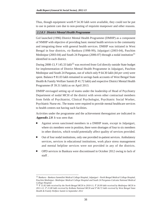Thus, though equipment worth  $\bar{\tau}$  54.30 lakh were available, they could not be put to use in patient care due to non-posting of requisite manpower and other reasons.

## **2.2.8.3 District Mental Health Programme**

GoI launched (1996) District Mental Health Programme (DMHP) as a component of NMHP with objective of providing basic mental health services to the community and integrating these with general health services. DMHP was initiated in West Bengal in four districts, *viz* Bankura (1998-99), Jalpaiguri (2003-04), Paschim Medinipur (2003-04) and South 24 Parganas (2006-07) through a nodal institution<sup>11</sup> identified in each district.

During 2008-13,  $\bar{\tau}$  145.33 lakh<sup>12</sup> was received from GoI directly outside State budget for implementation of District Mental Health Programme in Jalpaiguri, Paschim Medinipur and South 24 Parganas, out of which only ₹ 64.30 lakh (44 *per cent*) were spent. Balance  $\bar{\tau}$  81.03 lakh remained in savings bank accounts of West Bengal State Health & Family Welfare Samiti ( $\bar{\tau}$  41.72 lakh) and respective District Mental Health Programme ( $\overline{\xi}$  39.31 lakh) as on April 2013.

DMHP envisaged setting up of teams under the leadership of Head of Psychiatry Department of nodal MCH of the district with seven other contractual members from fields of Psychiatrist, Clinical Psychologist, Psychiatric Social Worker, Psychiatric Nurse etc. The teams were required to provide mental healthcare services to health centres not having such facilities.

Activities under the programme and the achievement thereagainst are indicated in **Appendix 2.9**. It was seen that:

- Against seven sanctioned members in a DMHP team, except in Jalpaiguri, where six members were in position, there were shortages of four to six members in other districts, which would potentially affect quality of services provided.
- Out of four nodal institutions, only one provided in-patient services. Ambulatory services, services in educational institutions, work place stress management and mental helpline services were not provided in any of the districts.
- OPD services in Bankura were discontinued in October 2012 owing to lack of staff .

<sup>11</sup> *Bankura - Bankura Sammilini Medical College Hospital, Jalpaiguri - North Bengal Medical College Hospital, Paschim Medinipur- Medinipur Medical College Hospital and South 24 Parganas-Calcutta National Medical College Hospital.*

<sup>12</sup> *15.82 lakh received by the North Bengal MCH in 2010-11; 20.99 lakh received by Medinipur MCH in*  $2011-12$ ; ₹ 21.80 lakh received by Kolkata National MCH and ₹ 86.72 lakh received by West Bengal State *Health & Family Welfare Samiti in September 2012*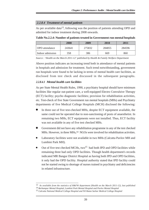#### **2.2.8.4 Treatment of mental patients**

As per available data<sup>13</sup>, following was the position of patients attending OPD and admitted for indoor treatment during 2008 onwards.

**Table No.2.2.4: Number of patients treated in Government run mental hospitals**

|                       | 2008   | 2009   | 2010   | 2011   |
|-----------------------|--------|--------|--------|--------|
| <b>OPD</b> attendance | 243641 | 275832 | 284855 | 284596 |
| Indoor admission      | 358    | 386    | 669    | 860    |

*Source : 'Health on the March 2011-12' published by Health & Family Welfare Department*

Above position indicates an increasing trend both in attendance of mental patients in hospitals and admission for treatment. Such trend notwithstanding, government run hospitals were found to be lacking in terms of mental health care facilities, as disclosed from test check and discussed in the subsequent paragraphs.

## **2.2.8.4.1 Mental health care facilities**

As per State Mental Health Rules, 1990, a psychiatry hospital should have minimum facilities like regular out-patient care, a well-equipped Electro Convulsive Therapy (ECT) facility; psycho diagnostic facilities; provision for rehabilitation activities, etc. Test-check of five State Government run mental hospitals (MHs) and Psychiatry departments of five Medical College Hospitals (MCH) disclosed the following:

- In three out of five test-checked MHs, despite ECT equipment available, the same could not be operated due to non-sanctioning of posts of anaesthetist. In remaining two MHs, ECT equipments were not installed. Thus, ECT facility was not available in any of five test checked MHs.
- Government did not have any rehabilitation programme in any of the test checked MHs. However, in three MHs,<sup>14</sup> NGOs were involved for rehabilitation activities.
- Laboratory facilities were not available in two MHs (Calcutta Pavlov MH and Lumbini Park MH).
- Out of five test checked MCHs, two<sup>15</sup> had both IPD and OPD facilities while remaining three had only OPD facilities. Though health department's records indicated MR Bangur District Hospital as having both IPD and OPD facilities, it only had the OPD facility. Hospital authority stated that IPD facility could not be started owing to shortage of nurses trained in psychiatry and deficiencies in related infrastructure.

<sup>13</sup> *As available from the statistics of H&FW department (Health on the March 2011-12), last published*

<sup>14</sup> *Berhampur Mental Hospital, Lumbini Park Mental Hospital and Pavlov Mental Hospital*

<sup>15</sup> *Calcutta National Medical College Hospital and Nil Ratan Sarkar Medical College Hospital*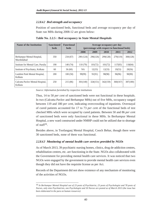## **2.2.8.4.2 Bed strength and occupancy**

Position of sanctioned beds, functional beds and average occupancy per day of State run MHs during 2008-12 are given below:

| <b>Name of the Institution</b>              | <b>Sanctioned</b><br><b>beds</b> | <b>Functional</b><br><b>beds</b> | Average occupancy per day<br>(percentage with respect to functional beds) |          |          |          |          |  |  |
|---------------------------------------------|----------------------------------|----------------------------------|---------------------------------------------------------------------------|----------|----------|----------|----------|--|--|
|                                             |                                  |                                  | 2008                                                                      | 2009     | 2010     | 2011     | 2012     |  |  |
| Berhampur Mental Hospital,<br>Murshidabad   | 350                              | 234(67)                          | 290 (124)                                                                 | 296(126) | 299(128) | 279(119) | 300(128) |  |  |
| Institute for Mental Care, Purulia          | 190                              | 140 (74)                         | 110(79)                                                                   | 101(72)  | 101(72)  | 117(83)  | 118(84)  |  |  |
| Institute of Psychiatry, Kolkata            | 60                               | 36(60)                           | <b>NA</b>                                                                 | 12(33)   | 12(33)   | 19(53)   | 20(56)   |  |  |
| Lumbini Park Mental Hospital,<br>Kolkata    | 200                              | 100(50)                          | 99(99)                                                                    | 91(91)   | 98(98)   | 96(96)   | 90(90)   |  |  |
| Calcutta Paylov Mental Hospital,<br>Kolkata | 250                              | 215 (86)                         | 301(140)                                                                  | 324(151) | 342(159) | 360(167) | 387(180) |  |  |

**Table No. 2.2.5 : Bed occupancy in State Mental Hospitals**

*Source: Information furnished by respective institutions*

Thus, 14 to 50 *per cent* of sanctioned beds were not functional in these hospitals. In two (Calcutta Pavlov and Berhampur MHs) out of five MHs, occupancy ranged between 119 and 180 *per cent*, indicating overcrowding of inpatients. Overstayal of cured patients accounted for 17 to 73 *per cen*t of the functional beds of test checked MHs which were occupied by cured patients. Between 50 and 86 *per cen*t of sanctioned beds were only functional in these MHs. In Berhampur Mental Hospital, a new ward constructed under NMHP could not be utilized due to shortage of staff<sup>16</sup>.

Besides above, in Toofanganj Mental Hospital, Cooch Behar, though there were 30 sanctioned beds, none of them was functional.

## **2.2.8.4.3 Monitoring of mental health care services provided by NGOs**

As of March 2013, 39 psychiatric nursing homes, clinics, drug de-addiction centres, rehabilitation centres, etc. are functioning in the State. NGOs also collaborated with the Government for providing mental health care services. It was noticed that two NGOs were engaged by the government to provide mental health care services even though they did not have the requisite license as per Act.

Records of the Department did not show existence of any mechanism of monitoring of the activities of NGOs.

<sup>16</sup> *In Berhampur Mental Hospital out of 23 posts of Psychiatrist, 23 posts of Psychologist and 78 posts of Nurses, only nine Psychiatrists, one Psychologist and 50 Nurses are posted as of March 2013 (the issue has been elaborated in the para on human resources)*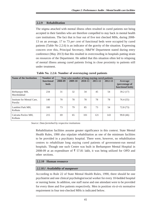## **2.2.9 Rehabilitation**

The stigma attached with mental illness often resulted in cured patients not being accepted in their families who are therefore compelled to stay back in mental health care institutions. The fact that in four out of five test checked MHs, during 2008- 13 on an average, 17 to 73 *per cent* of functional beds were occupied by cured patients (Table No 2.2.6) is an indicator of the gravity of the situation. Expressing concern over this, Principal Secretary, H&FW Department stated during entry conference (May 2013) that this resulted in overcrowding in hospitals putting strain on resources of the Department. He added that this situation often led to relapsing of mental illness among cured patients living in close proximity to patients still under treatment.

| <b>Name of the Institution</b>        | Number of                 | Year wise number of long staying cured patients |         |         |         |         |                                               |  |  |
|---------------------------------------|---------------------------|-------------------------------------------------|---------|---------|---------|---------|-----------------------------------------------|--|--|
|                                       | functional<br><b>beds</b> | 2008-09                                         | 2009-10 | 2010-11 | 2011-12 | 2012-13 | Average<br>(percentage of<br>functional beds) |  |  |
| Berhampur MH,<br>Murshidabad          | 234                       | 31                                              | 32      | 34      | 45      | 54      | 39.2(17)                                      |  |  |
| Institute for Mental Care,<br>Purulia | 140                       | 70                                              | 78      | 78      | 78      | 78      | 76.4 (55)                                     |  |  |
| Lumbini Park MH,<br>Kolkata           | 100                       | 73                                              | 79      | 85      | 73      | 54      | 72.8 (73)                                     |  |  |
| Calcutta Paylov MH.<br>Kolkata        | 215                       | 69                                              | 65      | 101     | 121     | 143     | 99.8 (46)                                     |  |  |

**Table No. 2.2.6: Number of overstaying cured patients**

*Source: Data furnished by respective institutions*

Rehabilitation facilities assume greater significance in this context. State Mental Health Rules, 1990 also stipulate rehabilitation as one of the minimum facilities to be provided in a psychiatry hospital. There were, however, no rehabilitation centres to rehabilitate long staying cured patients of government-run mental hospitals. Though one such Centre was built in Berhampore Mental Hospital in 2008-09 at an expenditure of  $\overline{\xi}$  57.81 lakh, it was being utilized for OPD and other sections.

## **2.2.10 Human resource**

## **2.2.10.1 Availability of manpower**

According to Rule 22 of State Mental Health Rules, 1990, there should be one psychiatrist and one clinical psychologist/social worker for every 10-bedded hospital or nursing home. In addition, one staff nurse and one attendant were to be provided for every three and five patients respectively. Men in position *vis-à-vis* normative requirement in four test-checked MHs is indicated below.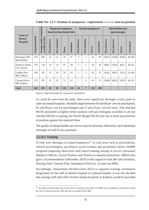| <b>Required manpower</b><br><b>Actual manpower</b><br>based on functional beds<br>Name of                                                                                                                                                                                                                                                                                                                                                                                                                                                                                                                                                                                                                                                                                                                                                                                                                                            |                        |                                                 |                                                          |              |       |                  |                  | (percentage)   | <b>Shortfall/excess</b> |           |              |              |        |                                                                                                                                                                                                                                                          |
|--------------------------------------------------------------------------------------------------------------------------------------------------------------------------------------------------------------------------------------------------------------------------------------------------------------------------------------------------------------------------------------------------------------------------------------------------------------------------------------------------------------------------------------------------------------------------------------------------------------------------------------------------------------------------------------------------------------------------------------------------------------------------------------------------------------------------------------------------------------------------------------------------------------------------------------|------------------------|-------------------------------------------------|----------------------------------------------------------|--------------|-------|------------------|------------------|----------------|-------------------------|-----------|--------------|--------------|--------|----------------------------------------------------------------------------------------------------------------------------------------------------------------------------------------------------------------------------------------------------------|
| <b>Mental</b><br>Hospital                                                                                                                                                                                                                                                                                                                                                                                                                                                                                                                                                                                                                                                                                                                                                                                                                                                                                                            | <b>Functional Beds</b> | Average number of inpatient<br>as of March 2012 | Psychiatrist                                             | Psychologist | Nurse | <b>Attendant</b> | Psychiatrist     | Psychologist   | Nurse                   | Attendant | Psychiatrist | Psychiatrist | Nurse  | Attendant                                                                                                                                                                                                                                                |
| Berhampur MH,<br>Murshidabad                                                                                                                                                                                                                                                                                                                                                                                                                                                                                                                                                                                                                                                                                                                                                                                                                                                                                                         | 234                    | 300                                             | 23                                                       | 23           | 78    | 47               | 9                | 1              | 50                      | 89        | 14(61)       | 22(96)       | 28(36) | $-42(-89)$                                                                                                                                                                                                                                               |
| Institute for mental<br>Care, Purulia                                                                                                                                                                                                                                                                                                                                                                                                                                                                                                                                                                                                                                                                                                                                                                                                                                                                                                | 140                    | 118                                             | 14                                                       | 14           | 47    | 28               | 5                | 1              | 39                      | 36        | 9(64)        | 13(93)       | 8(17)  | $-8(-29)$                                                                                                                                                                                                                                                |
| Lumbini Park<br>MH, Kolkata                                                                                                                                                                                                                                                                                                                                                                                                                                                                                                                                                                                                                                                                                                                                                                                                                                                                                                          | 100                    | 90                                              | 10                                                       | 10           | 33    | 20               | 5                | 1              | 28                      | 32        | 5(50)        | 9(90)        | 5(15)  | $-12(-60)$                                                                                                                                                                                                                                               |
| Calcutta Pavlov<br>MH, Kolkata                                                                                                                                                                                                                                                                                                                                                                                                                                                                                                                                                                                                                                                                                                                                                                                                                                                                                                       | 215                    | 387                                             | 22                                                       | 22           | 72    | 43               | $\boldsymbol{7}$ | $\overline{4}$ | 41                      | 51        | 15(68)       | 18(82)       | 31(43) | $-8(-19)$                                                                                                                                                                                                                                                |
| <b>Total</b>                                                                                                                                                                                                                                                                                                                                                                                                                                                                                                                                                                                                                                                                                                                                                                                                                                                                                                                         | 689                    | 895                                             | 69                                                       | 69           | 230   | 138              | 26               | $\overline{7}$ | 158                     | 208       |              |              |        |                                                                                                                                                                                                                                                          |
|                                                                                                                                                                                                                                                                                                                                                                                                                                                                                                                                                                                                                                                                                                                                                                                                                                                                                                                                      |                        |                                                 | in position against the required three.                  |              |       |                  |                  |                |                         |           |              |              |        | 82 and 96 per cent for psychologist and 15 and 43 per cent for nurse. Test-checked<br>MCHs presented a slightly better position with psychologists available in all test<br>checked MCHs excepting one (North Bengal MCH) and one to three psychiatrists |
|                                                                                                                                                                                                                                                                                                                                                                                                                                                                                                                                                                                                                                                                                                                                                                                                                                                                                                                                      |                        |                                                 |                                                          |              |       |                  |                  |                |                         |           |              |              |        |                                                                                                                                                                                                                                                          |
| The quality of mental health care service may be adversely affected by such substantial<br>shortages of staff in key positions.<br>2.2.10.2 Training<br>To tide over shortages in trained manpower <sup>17</sup> in vital areas such as psychiatrists,<br>clinical psychologists, psychiatric social workers and psychiatric nurses, NMHP<br>proposed imparting short-term skill based training among in service personnel<br>(Medical Officers, Social Workers and Nurses) in reputed institutions. SMHA also<br>gave a recommendation (December 2010) in this regard to train MO (Psychiatrist),<br>Nursing Staff, General Duty Attendant (GDA) etc. of state-run MHs.<br>Accordingly, Department decided (June 2012) to organize training/orientation<br>programme for the staff of mental hospitals in a phased manner. It was also decided<br>that nursing staff and GDA of three mental hospitals in Kolkata would be provided |                        |                                                 |                                                          |              |       |                  |                  |                |                         |           |              |              |        |                                                                                                                                                                                                                                                          |
|                                                                                                                                                                                                                                                                                                                                                                                                                                                                                                                                                                                                                                                                                                                                                                                                                                                                                                                                      |                        |                                                 | for one in Calcutta Pavlov MH and one in Lumbini Park MH |              |       |                  |                  |                |                         |           |              |              |        | $17$ Scrutiny revealed that none of the nurses working in the state-run MHs were qualified in psychiatry except                                                                                                                                          |

**Table No. 2.2.7: Position of manpower- requirement** *vis-à-vis* **men-in-position**

## **2.2.10.2 Training**

<sup>17</sup> *Scrutiny revealed that none of the nurses working in the state-run MHs were qualified in psychiatry except*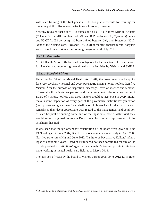with such training at the first phase at IOP. No plan /schedule for training for remaining staff of Kolkata or districts was, however, drawn up.

Scrutiny revealed that out of 118 nurses and 81 GDAs in three MHs in Kolkata (Calcutta Pavlov MH, Lumbini Park MH and IOP, Kolkata), 79 (67 *per cent*) nurses and 50 GDAs (62 *per cent*) had been trained between July and September 2012. None of the Nursing staff (158) and GDA (208) of four test checked mental hospitals was covered under orientation/ training programme till July 2013.

#### **2.2.11 Monitoring**

Mental Health Act of 1987 had made it obligatory for the state to create a mechanism for licensing and monitoring mental health care facilities by Visitors and SMHA.

## **2.2.11.1 Board of Visitors**

Under section 37 of the Mental Health Act, 1987, the government shall appoint for every psychiatry hospital and every psychiatric nursing home, not less than five Visitors<sup>18</sup> for the purpose of inspection, discharge, leave of absence and removal of mentally ill patients. As per Act and the government order on constitution of Board of Visitors, not less than three visitors should at least once in every month make a joint inspection of every part of the psychiatric institution/organization (both private and government) and shall record in books kept for that purpose such remarks as they deem appropriate with regard to the management and condition of such hospital or nursing home and of the inpatients therein. After visit they would submit suggestions to the Department for overall improvement of the psychiatry hospital.

It was seen that though orders for constitution of the board were given in June 1999 and again in June 2002, Board of visitors were constituted only in April 2008 (for five state run MHs) and June 2012 (Institute of Psychiatry, Kolkata) after a lapse of about nine years. Board of visitors had not been constituted for any of the private psychiatric institutions/organizations though 39 licensed private institutions were working in mental health care field as of March 2013.

The position of visits by the board of visitors during 2008-09 to 2012-13 is given below:

<sup>18</sup> *Among the visitors, at least one shall be medical officer, preferably a Psychiatrist and two social workers*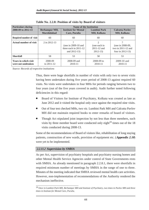| <b>Particulars during</b>                         |                                            | <b>Name of the Institution</b>                                      |                                                                  |                                                                     |  |
|---------------------------------------------------|--------------------------------------------|---------------------------------------------------------------------|------------------------------------------------------------------|---------------------------------------------------------------------|--|
| 2008-09 to 2012-13                                | <b>Berhampur MH,</b><br><b>Murshidabad</b> | <b>Institute for Mental</b><br>Care, Purulia                        | <b>Lumbini Park</b><br><b>MH, Kolkata</b>                        | <b>Calcutta Paylov</b><br><b>MH, Kolkata</b>                        |  |
| Required number of visit                          | 60                                         | 60                                                                  | 60                                                               | 60                                                                  |  |
| Actual number of visit                            | 2 in 2012-13                               | (one in $2009-10$ and<br>three each in $2011-12$<br>and $2012-13$ ) | $\mathfrak{D}$<br>(one each in<br>$2011 - 12$ and<br>$2012 - 13$ | (one in 2008-09,<br>two in $2011 - 12$ and<br>four in $2012 - 13$ ) |  |
| <b>Shortfall</b>                                  | 58                                         | 53                                                                  | 58                                                               | 53                                                                  |  |
| <b>Years in which visit</b><br>were not undetaken | 2008-09<br>to $2011 - 12$                  | 2008-09 and<br>$2010 - 11$                                          | $2008 - 09$ to<br>$2010 - 11$                                    | 2009-10 and<br>2010-11                                              |  |

**Table No. 2.2.8: Position of visits by Board of visitors**

*Source: Records of respective institutions*

Thus, there were huge shortfalls in number of visits with only two to seven visits having been undertaken during five years period of 2008-13 against required 60 visits. No visits were undertaken in four MHs for periods ranging between two to four years (out of the five years covered in audit). Audit further noted following deficiencies in this regard:

- Board of Visitors for Institute of Psychiatry, Kolkata was created as late as June 2012 and it visited the hospital only once against the required nine visits.
- Out of four test checked MHs, two *viz*. Lumbini Park MH and Calcutta Pavlov MH did not maintain required books to enter remarks of board of visitors.
- Though Act stipulated joint inspection by not less than three members, such visits by three member board were conducted only eight $19$  times out of the 18 visits conducted during 2008-13.

Some of the recommendations of Board of visitors like, rehabilitation of long staying patients, construction of new wards, provision of equipment etc. (**Appendix 2.10**) were yet to be implemented.

## **2.2.11.2 Supervision by SMHA**

As per Act, supervision of psychiatry hospitals and psychiatry nursing homes and other Mental Health Service Agencies under control of State Governments rests with SMHA. As already mentioned in paragraph 2.2.8.1, there were shortfalls in required minimum number of meetings by SMHA in the range of one to three. Minutes of the meeting indicated that SMHA reviewed mental health care activities. However, non-implementation of recommendations of the Authority rendered the mechanism ineffective.

<sup>19</sup> *Once in Lumbini Park MH, Berhampur MH and Institute of Psychiatry, two times in Pavlov MH and three times in Institute for Mental Care, Purulia.*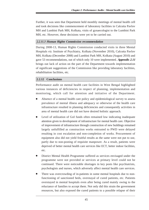Further, it was seen that Department held monthly meetings of mental health cell and took decisions like commencement of laboratory facilities in Calcutta Pavlov MH and Lumbini Park MH, Kolkata, visits of gynaecologist to the Lumbini Park MH, etc. However, these decisions were yet to be carried out.

## **2.2.11.3 Human Rights Commission recommendation**

During 2008-13, Human Rights Commission conducted visits in three Mental Hospitals *viz.* Institute of Psychiatry, Kolkata (November 2010), Calcutta Pavlov MH, Kolkata (December 2008) and Lumbini Park MH, Kolkata (August 2010) and gave 53 recommendations, out of which only 10 were implemented. **Appendix 2.11** brings out lack of action on the part of the Department towards implementation of significant suggestions of the Commission like providing laboratory facilities, rehabilitation facilities, etc.

## **2.2.12 Conclusions**

Performance audit on mental health care facilities in West Bengal highlighted various instances of deficiencies in respect of planning, implementation and monitoring, which call for attention and initiative of the Department.

- Absence of a mental health care policy and epidemiological survey to assess prevalence of mental illness and adequacy or otherwise of the health care infrastructure resulted in planning deficiencies and consequently activities in area of mental health care did not have desired holistic approach.
- Level of utilization of GoI funds often remained low indicating inadequate attention given to development of infrastructure for mental health care. Objective of improvement of infrastructure through construction of new buildings remained largely unfulfilled as construction works entrusted to PWD were delayed resulting in cost escalation and non-completion of works. Procurement of equipment also did not yield fruitful results as the same were not put to use, partly due to non-posting of requisite manpower. As a result, patients were deprived of better mental health care services like ECT, better indoor facilities, etc.
- District Mental Health Programme suffered as services envisaged under the programme were not provided or services at primary level could not be continued. There were noticeable shortages in key posts like psychiatrists, psychologists and nurses, which adversely affect mental health care services.
- There was overcrowding of in-patients in some mental hospitals due to nonfunctioning of sanctioned beds, overstayal of cured patients, etc. Patients overstayed in mental hospitals even after being cured mainly owing to the reluctance of families to accept them. Not only did this strain the government resources, but also exposed the cured patients to a possible relapse of their